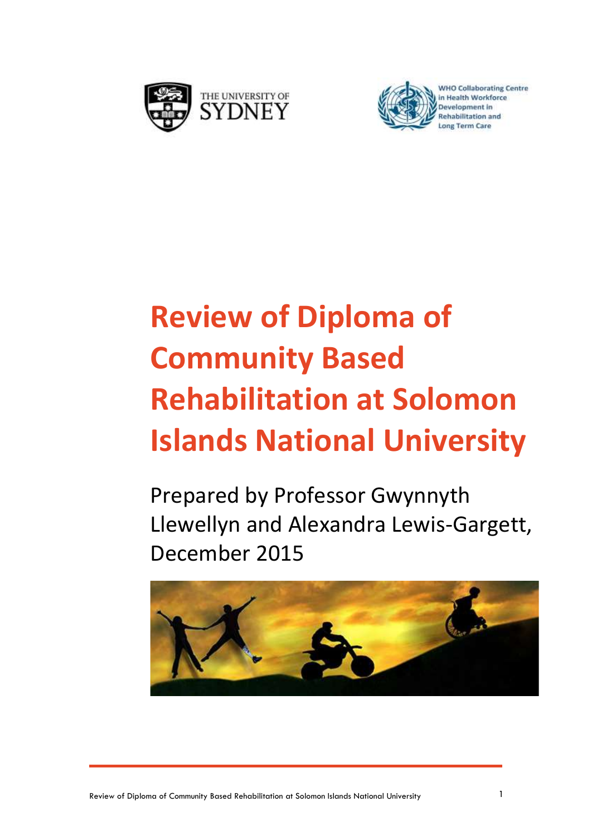



#### **WHO Collaborating Centre** in Health Workforce **Rehabilitation and**

# **Review of Diploma of Community Based Rehabilitation at Solomon Islands National University**

Prepared by Professor Gwynnyth Llewellyn and Alexandra Lewis-Gargett, December 2015

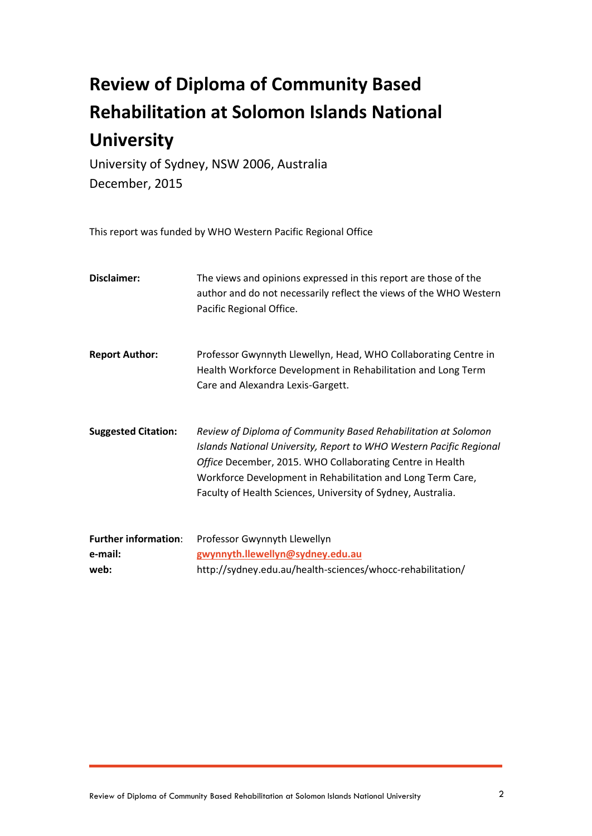## **Review of Diploma of Community Based Rehabilitation at Solomon Islands National University**

University of Sydney, NSW 2006, Australia December, 2015

This report was funded by WHO Western Pacific Regional Office

| Disclaimer:                            | The views and opinions expressed in this report are those of the<br>author and do not necessarily reflect the views of the WHO Western<br>Pacific Regional Office.                                                                                                                                                                |
|----------------------------------------|-----------------------------------------------------------------------------------------------------------------------------------------------------------------------------------------------------------------------------------------------------------------------------------------------------------------------------------|
| <b>Report Author:</b>                  | Professor Gwynnyth Llewellyn, Head, WHO Collaborating Centre in<br>Health Workforce Development in Rehabilitation and Long Term<br>Care and Alexandra Lexis-Gargett.                                                                                                                                                              |
| <b>Suggested Citation:</b>             | Review of Diploma of Community Based Rehabilitation at Solomon<br>Islands National University, Report to WHO Western Pacific Regional<br>Office December, 2015. WHO Collaborating Centre in Health<br>Workforce Development in Rehabilitation and Long Term Care,<br>Faculty of Health Sciences, University of Sydney, Australia. |
| <b>Further information:</b><br>e-mail: | Professor Gwynnyth Llewellyn<br>gwynnyth.llewellyn@sydney.edu.au                                                                                                                                                                                                                                                                  |
| web:                                   | http://sydney.edu.au/health-sciences/whocc-rehabilitation/                                                                                                                                                                                                                                                                        |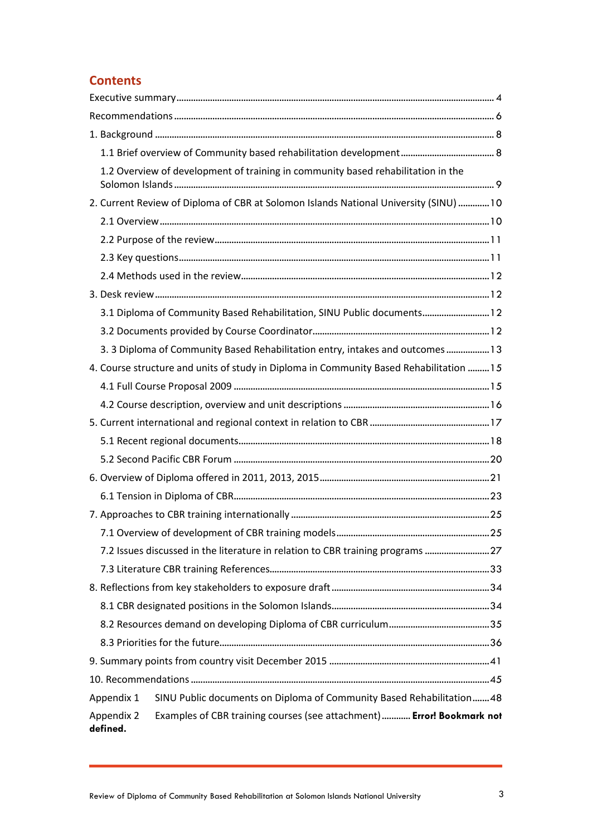#### **Contents**

|                        | 1.2 Overview of development of training in community based rehabilitation in the        |  |
|------------------------|-----------------------------------------------------------------------------------------|--|
|                        |                                                                                         |  |
|                        | 2. Current Review of Diploma of CBR at Solomon Islands National University (SINU) 10    |  |
|                        |                                                                                         |  |
|                        |                                                                                         |  |
|                        |                                                                                         |  |
|                        |                                                                                         |  |
|                        |                                                                                         |  |
|                        | 3.1 Diploma of Community Based Rehabilitation, SINU Public documents 12                 |  |
|                        |                                                                                         |  |
|                        | 3. 3 Diploma of Community Based Rehabilitation entry, intakes and outcomes  13          |  |
|                        | 4. Course structure and units of study in Diploma in Community Based Rehabilitation  15 |  |
|                        |                                                                                         |  |
|                        |                                                                                         |  |
|                        |                                                                                         |  |
|                        |                                                                                         |  |
|                        |                                                                                         |  |
|                        |                                                                                         |  |
|                        |                                                                                         |  |
|                        |                                                                                         |  |
|                        |                                                                                         |  |
|                        | 7.2 Issues discussed in the literature in relation to CBR training programs  27         |  |
|                        |                                                                                         |  |
|                        |                                                                                         |  |
|                        |                                                                                         |  |
|                        |                                                                                         |  |
|                        |                                                                                         |  |
|                        |                                                                                         |  |
|                        |                                                                                         |  |
| Appendix 1             | SINU Public documents on Diploma of Community Based Rehabilitation 48                   |  |
| Appendix 2<br>defined. | Examples of CBR training courses (see attachment) Error! Bookmark not                   |  |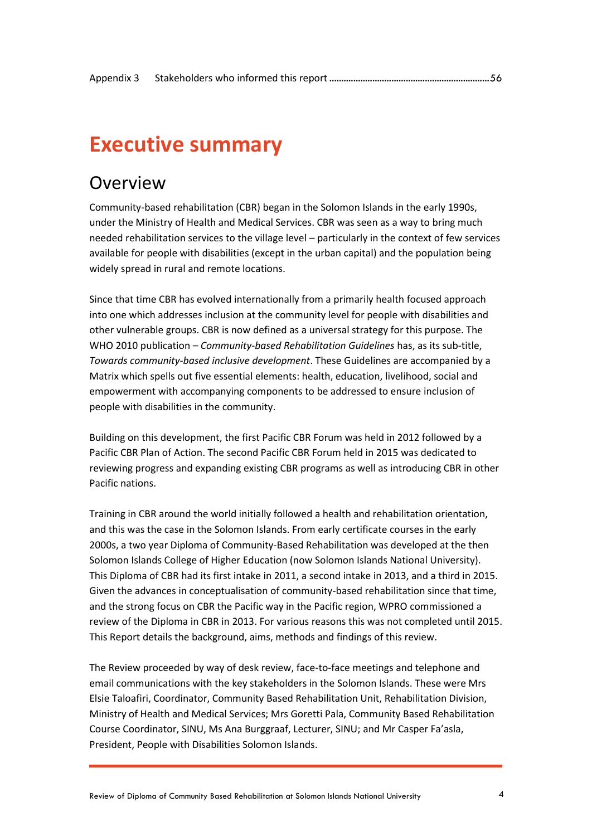## <span id="page-3-0"></span>**Executive summary**

### Overview

Community-based rehabilitation (CBR) began in the Solomon Islands in the early 1990s, under the Ministry of Health and Medical Services. CBR was seen as a way to bring much needed rehabilitation services to the village level – particularly in the context of few services available for people with disabilities (except in the urban capital) and the population being widely spread in rural and remote locations.

Since that time CBR has evolved internationally from a primarily health focused approach into one which addresses inclusion at the community level for people with disabilities and other vulnerable groups. CBR is now defined as a universal strategy for this purpose. The WHO 2010 publication – *Community-based Rehabilitation Guidelines* has, as its sub-title, *Towards community-based inclusive development*. These Guidelines are accompanied by a Matrix which spells out five essential elements: health, education, livelihood, social and empowerment with accompanying components to be addressed to ensure inclusion of people with disabilities in the community.

Building on this development, the first Pacific CBR Forum was held in 2012 followed by a Pacific CBR Plan of Action. The second Pacific CBR Forum held in 2015 was dedicated to reviewing progress and expanding existing CBR programs as well as introducing CBR in other Pacific nations.

Training in CBR around the world initially followed a health and rehabilitation orientation, and this was the case in the Solomon Islands. From early certificate courses in the early 2000s, a two year Diploma of Community-Based Rehabilitation was developed at the then Solomon Islands College of Higher Education (now Solomon Islands National University). This Diploma of CBR had its first intake in 2011, a second intake in 2013, and a third in 2015. Given the advances in conceptualisation of community-based rehabilitation since that time, and the strong focus on CBR the Pacific way in the Pacific region, WPRO commissioned a review of the Diploma in CBR in 2013. For various reasons this was not completed until 2015. This Report details the background, aims, methods and findings of this review.

The Review proceeded by way of desk review, face-to-face meetings and telephone and email communications with the key stakeholders in the Solomon Islands. These were Mrs Elsie Taloafiri, Coordinator, Community Based Rehabilitation Unit, Rehabilitation Division, Ministry of Health and Medical Services; Mrs Goretti Pala, Community Based Rehabilitation Course Coordinator, SINU, Ms Ana Burggraaf, Lecturer, SINU; and Mr Casper Fa'asla, President, People with Disabilities Solomon Islands.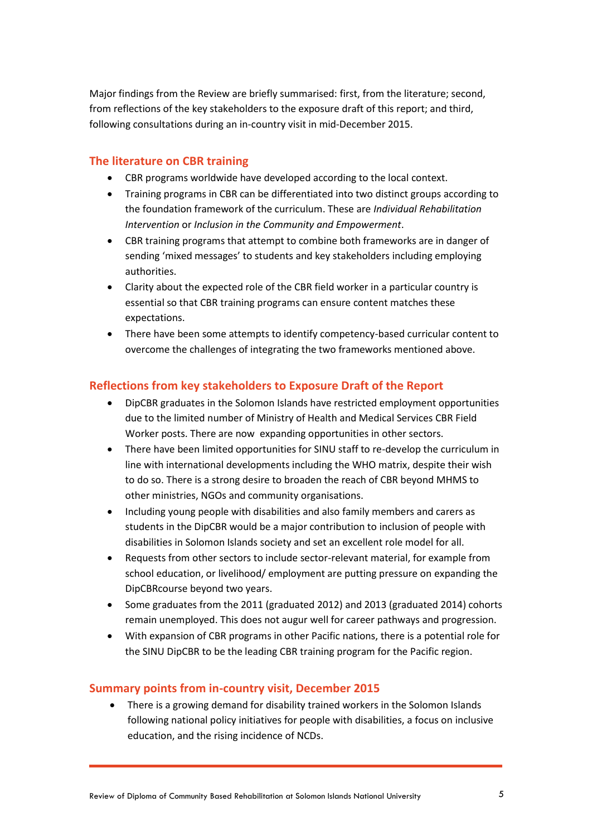Major findings from the Review are briefly summarised: first, from the literature; second, from reflections of the key stakeholders to the exposure draft of this report; and third, following consultations during an in-country visit in mid-December 2015.

#### **The literature on CBR training**

- CBR programs worldwide have developed according to the local context.
- Training programs in CBR can be differentiated into two distinct groups according to the foundation framework of the curriculum. These are *Individual Rehabilitation Intervention* or *Inclusion in the Community and Empowerment*.
- CBR training programs that attempt to combine both frameworks are in danger of sending 'mixed messages' to students and key stakeholders including employing authorities.
- Clarity about the expected role of the CBR field worker in a particular country is essential so that CBR training programs can ensure content matches these expectations.
- There have been some attempts to identify competency-based curricular content to overcome the challenges of integrating the two frameworks mentioned above.

#### **Reflections from key stakeholders to Exposure Draft of the Report**

- DipCBR graduates in the Solomon Islands have restricted employment opportunities due to the limited number of Ministry of Health and Medical Services CBR Field Worker posts. There are now expanding opportunities in other sectors.
- There have been limited opportunities for SINU staff to re-develop the curriculum in line with international developments including the WHO matrix, despite their wish to do so. There is a strong desire to broaden the reach of CBR beyond MHMS to other ministries, NGOs and community organisations.
- Including young people with disabilities and also family members and carers as students in the DipCBR would be a major contribution to inclusion of people with disabilities in Solomon Islands society and set an excellent role model for all.
- Requests from other sectors to include sector-relevant material, for example from school education, or livelihood/ employment are putting pressure on expanding the DipCBRcourse beyond two years.
- Some graduates from the 2011 (graduated 2012) and 2013 (graduated 2014) cohorts remain unemployed. This does not augur well for career pathways and progression.
- With expansion of CBR programs in other Pacific nations, there is a potential role for the SINU DipCBR to be the leading CBR training program for the Pacific region.

#### **Summary points from in-country visit, December 2015**

 There is a growing demand for disability trained workers in the Solomon Islands following national policy initiatives for people with disabilities, a focus on inclusive education, and the rising incidence of NCDs.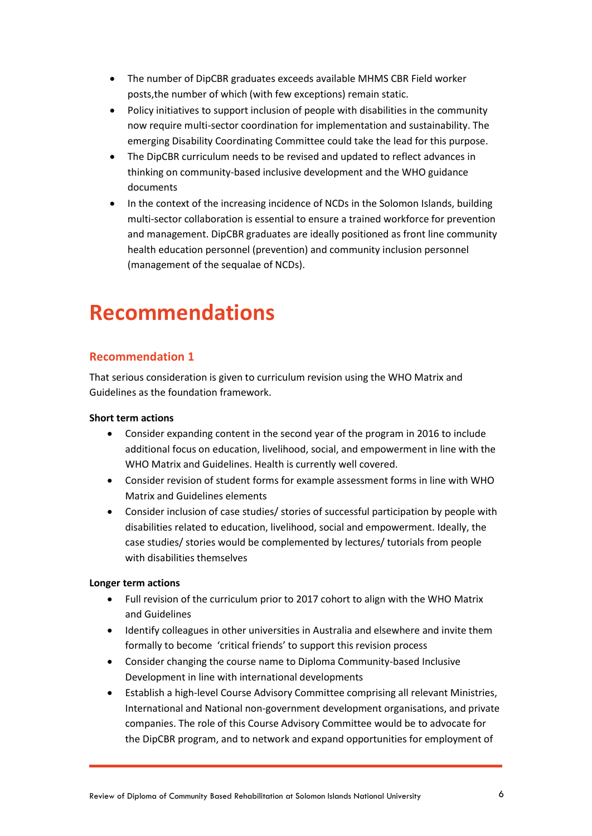- The number of DipCBR graduates exceeds available MHMS CBR Field worker posts,the number of which (with few exceptions) remain static.
- Policy initiatives to support inclusion of people with disabilities in the community now require multi-sector coordination for implementation and sustainability. The emerging Disability Coordinating Committee could take the lead for this purpose.
- The DipCBR curriculum needs to be revised and updated to reflect advances in thinking on community-based inclusive development and the WHO guidance documents
- In the context of the increasing incidence of NCDs in the Solomon Islands, building multi-sector collaboration is essential to ensure a trained workforce for prevention and management. DipCBR graduates are ideally positioned as front line community health education personnel (prevention) and community inclusion personnel (management of the sequalae of NCDs).

## <span id="page-5-0"></span>**Recommendations**

#### **Recommendation 1**

That serious consideration is given to curriculum revision using the WHO Matrix and Guidelines as the foundation framework.

#### **Short term actions**

- Consider expanding content in the second year of the program in 2016 to include additional focus on education, livelihood, social, and empowerment in line with the WHO Matrix and Guidelines. Health is currently well covered.
- Consider revision of student forms for example assessment forms in line with WHO Matrix and Guidelines elements
- Consider inclusion of case studies/ stories of successful participation by people with disabilities related to education, livelihood, social and empowerment. Ideally, the case studies/ stories would be complemented by lectures/ tutorials from people with disabilities themselves

#### **Longer term actions**

- Full revision of the curriculum prior to 2017 cohort to align with the WHO Matrix and Guidelines
- Identify colleagues in other universities in Australia and elsewhere and invite them formally to become 'critical friends' to support this revision process
- Consider changing the course name to Diploma Community-based Inclusive Development in line with international developments
- Establish a high-level Course Advisory Committee comprising all relevant Ministries, International and National non-government development organisations, and private companies. The role of this Course Advisory Committee would be to advocate for the DipCBR program, and to network and expand opportunities for employment of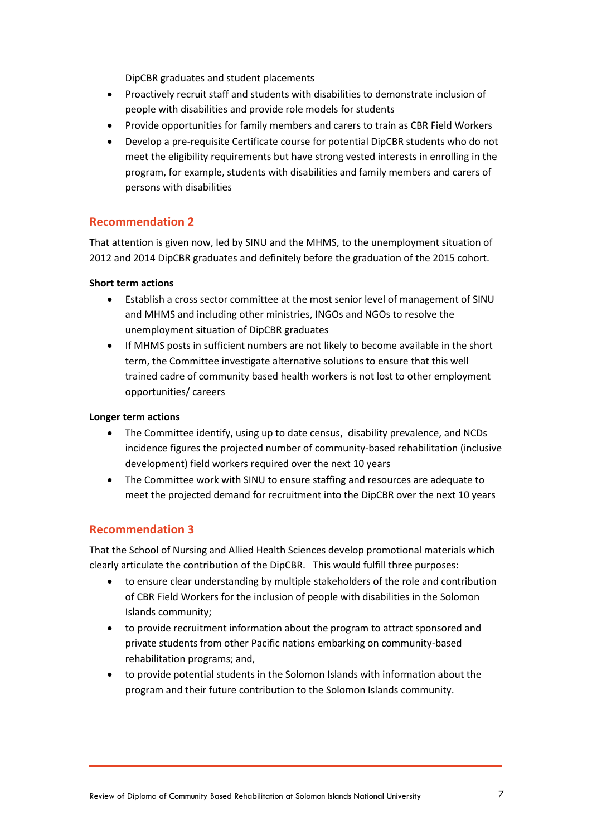DipCBR graduates and student placements

- Proactively recruit staff and students with disabilities to demonstrate inclusion of people with disabilities and provide role models for students
- Provide opportunities for family members and carers to train as CBR Field Workers
- Develop a pre-requisite Certificate course for potential DipCBR students who do not meet the eligibility requirements but have strong vested interests in enrolling in the program, for example, students with disabilities and family members and carers of persons with disabilities

#### **Recommendation 2**

That attention is given now, led by SINU and the MHMS, to the unemployment situation of 2012 and 2014 DipCBR graduates and definitely before the graduation of the 2015 cohort.

#### **Short term actions**

- Establish a cross sector committee at the most senior level of management of SINU and MHMS and including other ministries, INGOs and NGOs to resolve the unemployment situation of DipCBR graduates
- If MHMS posts in sufficient numbers are not likely to become available in the short term, the Committee investigate alternative solutions to ensure that this well trained cadre of community based health workers is not lost to other employment opportunities/ careers

#### **Longer term actions**

- The Committee identify, using up to date census, disability prevalence, and NCDs incidence figures the projected number of community-based rehabilitation (inclusive development) field workers required over the next 10 years
- The Committee work with SINU to ensure staffing and resources are adequate to meet the projected demand for recruitment into the DipCBR over the next 10 years

#### **Recommendation 3**

That the School of Nursing and Allied Health Sciences develop promotional materials which clearly articulate the contribution of the DipCBR. This would fulfill three purposes:

- to ensure clear understanding by multiple stakeholders of the role and contribution of CBR Field Workers for the inclusion of people with disabilities in the Solomon Islands community;
- to provide recruitment information about the program to attract sponsored and private students from other Pacific nations embarking on community-based rehabilitation programs; and,
- to provide potential students in the Solomon Islands with information about the program and their future contribution to the Solomon Islands community.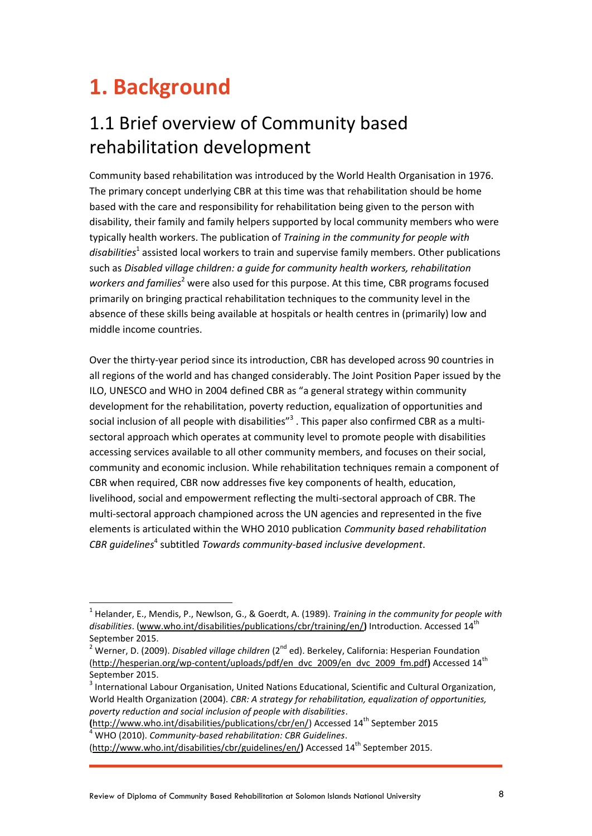## <span id="page-7-0"></span>**1. Background**

## <span id="page-7-1"></span>1.1 Brief overview of Community based rehabilitation development

Community based rehabilitation was introduced by the World Health Organisation in 1976. The primary concept underlying CBR at this time was that rehabilitation should be home based with the care and responsibility for rehabilitation being given to the person with disability, their family and family helpers supported by local community members who were typically health workers. The publication of *Training in the community for people with*  disabilities<sup>1</sup> assisted local workers to train and supervise family members. Other publications such as *Disabled village children: a guide for community health workers, rehabilitation workers and families*<sup>2</sup> were also used for this purpose. At this time, CBR programs focused primarily on bringing practical rehabilitation techniques to the community level in the absence of these skills being available at hospitals or health centres in (primarily) low and middle income countries.

Over the thirty-year period since its introduction, CBR has developed across 90 countries in all regions of the world and has changed considerably. The Joint Position Paper issued by the ILO, UNESCO and WHO in 2004 defined CBR as "a general strategy within community development for the rehabilitation, poverty reduction, equalization of opportunities and social inclusion of all people with disabilities" $^3$  . This paper also confirmed CBR as a multisectoral approach which operates at community level to promote people with disabilities accessing services available to all other community members, and focuses on their social, community and economic inclusion. While rehabilitation techniques remain a component of CBR when required, CBR now addresses five key components of health, education, livelihood, social and empowerment reflecting the multi-sectoral approach of CBR. The multi-sectoral approach championed across the UN agencies and represented in the five elements is articulated within the WHO 2010 publication *Community based rehabilitation*  CBR guidelines<sup>4</sup> subtitled *Towards community-based inclusive development*.

**(**[http://www.who.int/disabilities/publications/cbr/en/\)](http://www.who.int/disabilities/publications/cbr/en/) Accessed 14 th September 2015 <sup>4</sup> WHO (2010). *Community-based rehabilitation: CBR Guidelines*.

[\(http://www.who.int/disabilities/cbr/guidelines/en/](http://www.who.int/disabilities/cbr/guidelines/en/)) Accessed 14<sup>th</sup> September 2015.

<sup>1</sup> Helander, E., Mendis, P., Newlson, G., & Goerdt, A. (1989). *Training in the community for people with disabilities*. [\(www.who.int/disabilities/publications/cbr/training/en/](http://www.who.int/disabilities/publications/cbr/training/en/)**)** Introduction. Accessed 14th September 2015.

<sup>&</sup>lt;sup>2</sup> Werner, D. (2009). *Disabled village children* (2<sup>nd</sup> ed). Berkeley, California: Hesperian Foundation [\(http://hesperian.org/wp-content/uploads/pdf/en\\_dvc\\_2009/en\\_dvc\\_2009\\_fm.pdf](http://hesperian.org/wp-content/uploads/pdf/en_dvc_2009/en_dvc_2009_fm.pdf)**)** Accessed 14th September 2015.

<sup>&</sup>lt;sup>3</sup> International Labour Organisation, United Nations Educational, Scientific and Cultural Organization, World Health Organization (2004). *CBR: A strategy for rehabilitation, equalization of opportunities, poverty reduction and social inclusion of people with disabilities*.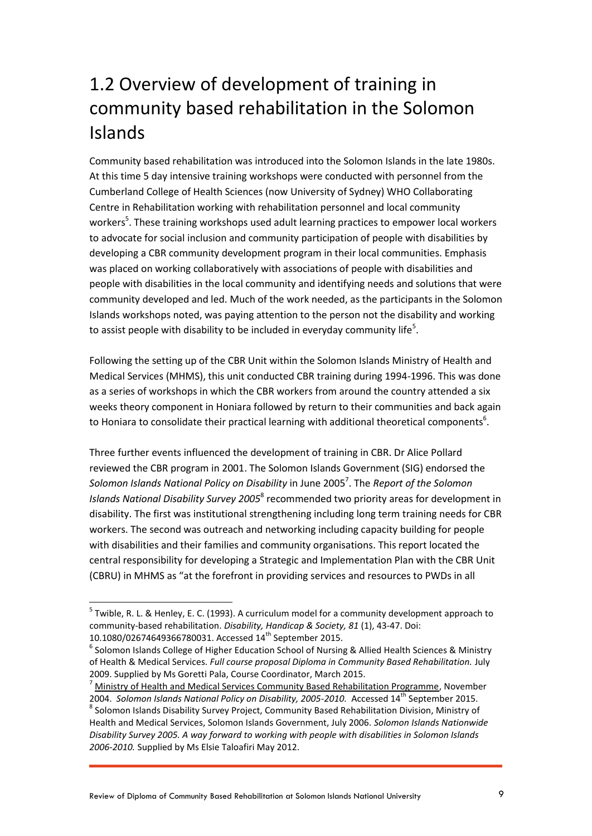## <span id="page-8-0"></span>1.2 Overview of development of training in community based rehabilitation in the Solomon Islands

Community based rehabilitation was introduced into the Solomon Islands in the late 1980s. At this time 5 day intensive training workshops were conducted with personnel from the Cumberland College of Health Sciences (now University of Sydney) WHO Collaborating Centre in Rehabilitation working with rehabilitation personnel and local community workers<sup>5</sup>. These training workshops used adult learning practices to empower local workers to advocate for social inclusion and community participation of people with disabilities by developing a CBR community development program in their local communities. Emphasis was placed on working collaboratively with associations of people with disabilities and people with disabilities in the local community and identifying needs and solutions that were community developed and led. Much of the work needed, as the participants in the Solomon Islands workshops noted, was paying attention to the person not the disability and working to assist people with disability to be included in everyday community life<sup>5</sup>.

Following the setting up of the CBR Unit within the Solomon Islands Ministry of Health and Medical Services (MHMS), this unit conducted CBR training during 1994-1996. This was done as a series of workshops in which the CBR workers from around the country attended a six weeks theory component in Honiara followed by return to their communities and back again to Honiara to consolidate their practical learning with additional theoretical components<sup>6</sup>.

Three further events influenced the development of training in CBR. Dr Alice Pollard reviewed the CBR program in 2001. The Solomon Islands Government (SIG) endorsed the Solomon Islands National Policy on Disability in June 2005<sup>7</sup>. The *Report of the Solomon* Islands National Disability Survey 2005<sup>8</sup> recommended two priority areas for development in disability. The first was institutional strengthening including long term training needs for CBR workers. The second was outreach and networking including capacity building for people with disabilities and their families and community organisations. This report located the central responsibility for developing a Strategic and Implementation Plan with the CBR Unit (CBRU) in MHMS as "at the forefront in providing services and resources to PWDs in all

 $\overline{a}$ 

<sup>&</sup>lt;sup>5</sup> Twible, R. L. & Henley, E. C. (1993). A curriculum model for a community development approach to community-based rehabilitation. *Disability, Handicap & Society, 81* (1), 43-47. Doi: 10.1080/02674649366780031. Accessed 14<sup>th</sup> September 2015.

<sup>&</sup>lt;sup>6</sup> Solomon Islands College of Higher Education School of Nursing & Allied Health Sciences & Ministry of Health & Medical Services. *Full course proposal Diploma in Community Based Rehabilitation.* July 2009. Supplied by Ms Goretti Pala, Course Coordinator, March 2015.

<sup>7</sup> [Ministry of Health and Medical Services Community Based Rehabilitation Programme,](https://www.mindbank.info/item/1563) November 2004. *Solomon Islands National Policy on Disability, 2005-2010.* Accessed 14<sup>th</sup> September 2015. <sup>8</sup> Solomon Islands Disability Survey Project, Community Based Rehabilitation Division, Ministry of Health and Medical Services, Solomon Islands Government, July 2006. *Solomon Islands Nationwide Disability Survey 2005. A way forward to working with people with disabilities in Solomon Islands 2006-2010.* Supplied by Ms Elsie Taloafiri May 2012.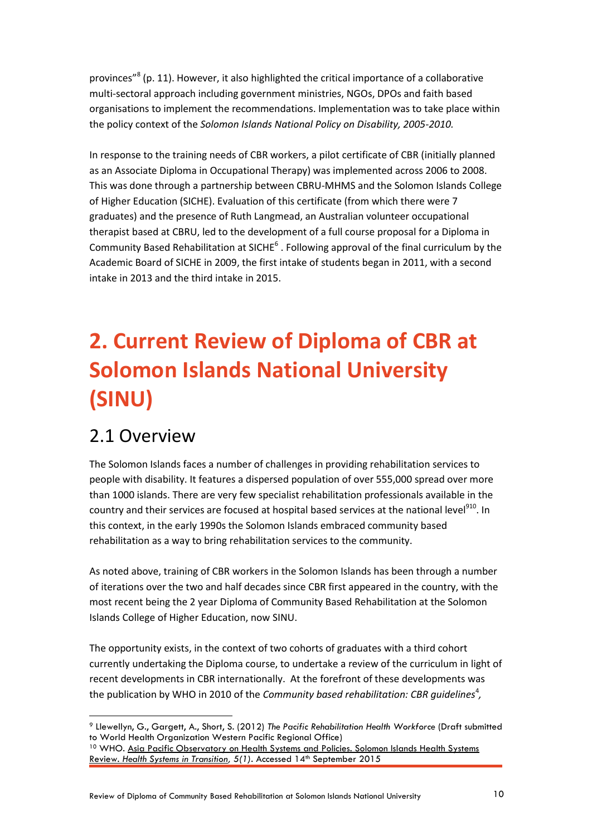provinces"<sup>8</sup> (p. 11). However, it also highlighted the critical importance of a collaborative multi-sectoral approach including government ministries, NGOs, DPOs and faith based organisations to implement the recommendations. Implementation was to take place within the policy context of the *Solomon Islands National Policy on Disability, 2005-2010.* 

In response to the training needs of CBR workers, a pilot certificate of CBR (initially planned as an Associate Diploma in Occupational Therapy) was implemented across 2006 to 2008. This was done through a partnership between CBRU-MHMS and the Solomon Islands College of Higher Education (SICHE). Evaluation of this certificate (from which there were 7 graduates) and the presence of Ruth Langmead, an Australian volunteer occupational therapist based at CBRU, led to the development of a full course proposal for a Diploma in Community Based Rehabilitation at SICHE $^6$ . Following approval of the final curriculum by the Academic Board of SICHE in 2009, the first intake of students began in 2011, with a second intake in 2013 and the third intake in 2015.

## <span id="page-9-0"></span>**2. Current Review of Diploma of CBR at Solomon Islands National University (SINU)**

### <span id="page-9-1"></span>2.1 Overview

 $\overline{a}$ 

The Solomon Islands faces a number of challenges in providing rehabilitation services to people with disability. It features a dispersed population of over 555,000 spread over more than 1000 islands. There are very few specialist rehabilitation professionals available in the country and their services are focused at hospital based services at the national level<sup>910</sup>. In this context, in the early 1990s the Solomon Islands embraced community based rehabilitation as a way to bring rehabilitation services to the community.

As noted above, training of CBR workers in the Solomon Islands has been through a number of iterations over the two and half decades since CBR first appeared in the country, with the most recent being the 2 year Diploma of Community Based Rehabilitation at the Solomon Islands College of Higher Education, now SINU.

The opportunity exists, in the context of two cohorts of graduates with a third cohort currently undertaking the Diploma course, to undertake a review of the curriculum in light of recent developments in CBR internationally. At the forefront of these developments was the publication by WHO in 2010 of the *Community based rehabilitation: CBR guidelines<sup>4</sup>,* 

<sup>9</sup> Llewellyn, G., Gargett, A., Short, S. (2012) *The Pacific Rehabilitation Health Workforce* (Draft submitted to World Health Organization Western Pacific Regional Office)

<sup>&</sup>lt;sup>10</sup> WHO. Asia Pacific Observatory on Health Systems and Policies. Solomon Islands Health Systems Review. [Health Systems in Transition,](http://www.ispor.org/consortiums/asia/documents/SolomonIslands-HiT.pdf) 5(1). Accessed 14<sup>th</sup> September 2015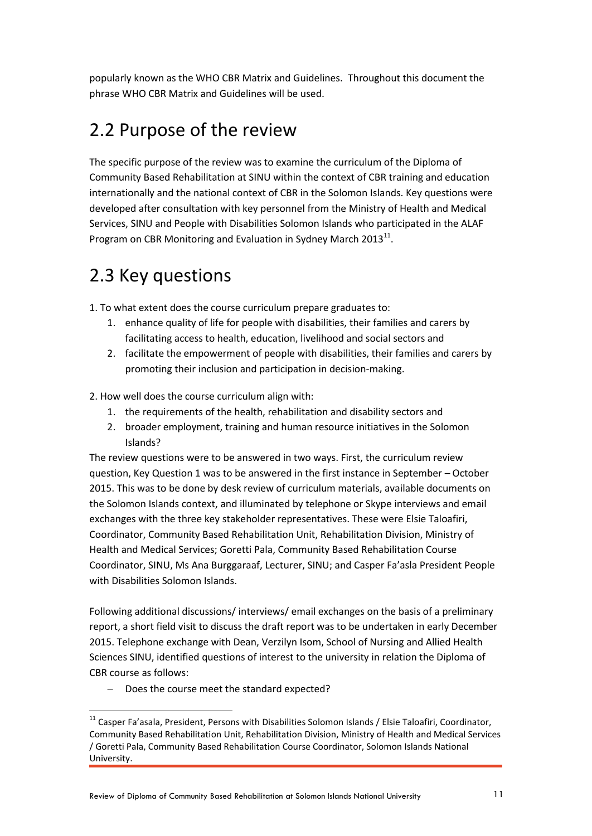popularly known as the WHO CBR Matrix and Guidelines. Throughout this document the phrase WHO CBR Matrix and Guidelines will be used.

## <span id="page-10-0"></span>2.2 Purpose of the review

The specific purpose of the review was to examine the curriculum of the Diploma of Community Based Rehabilitation at SINU within the context of CBR training and education internationally and the national context of CBR in the Solomon Islands. Key questions were developed after consultation with key personnel from the Ministry of Health and Medical Services, SINU and People with Disabilities Solomon Islands who participated in the ALAF Program on CBR Monitoring and Evaluation in Sydney March 2013 $^{11}$ .

## <span id="page-10-1"></span>2.3 Key questions

1. To what extent does the course curriculum prepare graduates to:

- 1. enhance quality of life for people with disabilities, their families and carers by facilitating access to health, education, livelihood and social sectors and
- 2. facilitate the empowerment of people with disabilities, their families and carers by promoting their inclusion and participation in decision-making.
- 2. How well does the course curriculum align with:
	- 1. the requirements of the health, rehabilitation and disability sectors and
	- 2. broader employment, training and human resource initiatives in the Solomon Islands?

The review questions were to be answered in two ways. First, the curriculum review question, Key Question 1 was to be answered in the first instance in September – October 2015. This was to be done by desk review of curriculum materials, available documents on the Solomon Islands context, and illuminated by telephone or Skype interviews and email exchanges with the three key stakeholder representatives. These were Elsie Taloafiri, Coordinator, Community Based Rehabilitation Unit, Rehabilitation Division, Ministry of Health and Medical Services; Goretti Pala, Community Based Rehabilitation Course Coordinator, SINU, Ms Ana Burggaraaf, Lecturer, SINU; and Casper Fa'asla President People with Disabilities Solomon Islands.

Following additional discussions/ interviews/ email exchanges on the basis of a preliminary report, a short field visit to discuss the draft report was to be undertaken in early December 2015. Telephone exchange with Dean, Verzilyn Isom, School of Nursing and Allied Health Sciences SINU, identified questions of interest to the university in relation the Diploma of CBR course as follows:

Does the course meet the standard expected?

 $\overline{a}$ 

<sup>&</sup>lt;sup>11</sup> Casper Fa'asala, President, Persons with Disabilities Solomon Islands / Elsie Taloafiri, Coordinator, Community Based Rehabilitation Unit, Rehabilitation Division, Ministry of Health and Medical Services / Goretti Pala, Community Based Rehabilitation Course Coordinator, Solomon Islands National University.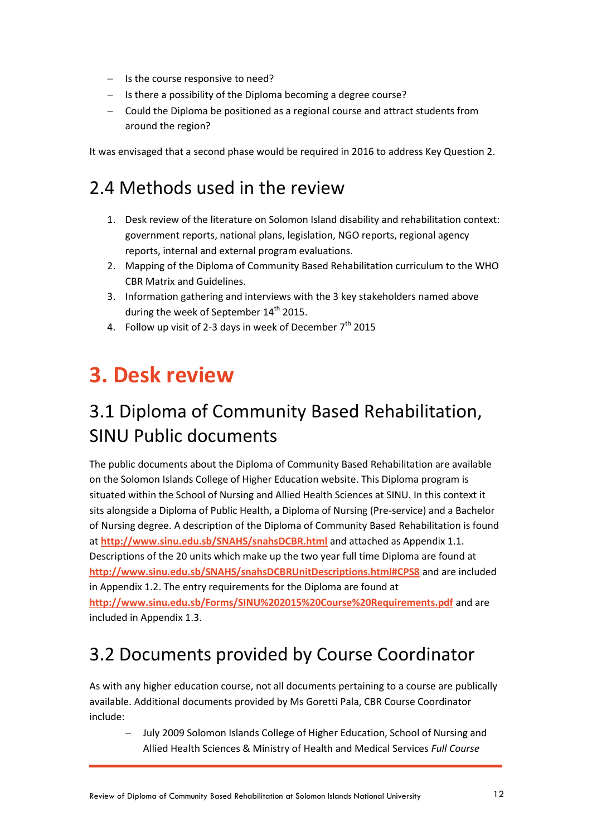- $-$  Is the course responsive to need?
- $-$  Is there a possibility of the Diploma becoming a degree course?
- Could the Diploma be positioned as a regional course and attract students from around the region?

It was envisaged that a second phase would be required in 2016 to address Key Question 2.

## <span id="page-11-0"></span>2.4 Methods used in the review

- 1. Desk review of the literature on Solomon Island disability and rehabilitation context: government reports, national plans, legislation, NGO reports, regional agency reports, internal and external program evaluations.
- 2. Mapping of the Diploma of Community Based Rehabilitation curriculum to the WHO CBR Matrix and Guidelines.
- 3. Information gathering and interviews with the 3 key stakeholders named above during the week of September  $14<sup>th</sup>$  2015.
- <span id="page-11-1"></span>4. Follow up visit of 2-3 days in week of December  $7<sup>th</sup>$  2015

## **3. Desk review**

## <span id="page-11-2"></span>3.1 Diploma of Community Based Rehabilitation, SINU Public documents

The public documents about the Diploma of Community Based Rehabilitation are available on the Solomon Islands College of Higher Education website. This Diploma program is situated within the School of Nursing and Allied Health Sciences at SINU. In this context it sits alongside a Diploma of Public Health, a Diploma of Nursing (Pre-service) and a Bachelor of Nursing degree. A description of the Diploma of Community Based Rehabilitation is found at **<http://www.sinu.edu.sb/SNAHS/snahsDCBR.html>** and attached as Appendix 1.1. Descriptions of the 20 units which make up the two year full time Diploma are found at **<http://www.sinu.edu.sb/SNAHS/snahsDCBRUnitDescriptions.html#CPS8>** and are included in Appendix 1.2. The entry requirements for the Diploma are found at **<http://www.sinu.edu.sb/Forms/SINU%202015%20Course%20Requirements.pdf>** and are included in Appendix 1.3.

## <span id="page-11-3"></span>3.2 Documents provided by Course Coordinator

As with any higher education course, not all documents pertaining to a course are publically available. Additional documents provided by Ms Goretti Pala, CBR Course Coordinator include:

 July 2009 Solomon Islands College of Higher Education, School of Nursing and Allied Health Sciences & Ministry of Health and Medical Services *Full Course*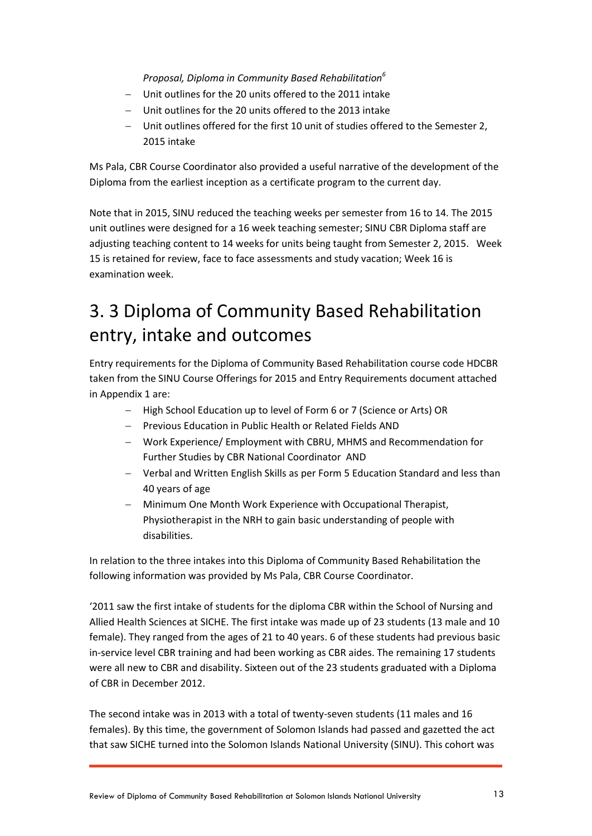#### *Proposal, Diploma in Community Based Rehabilitation<sup>6</sup>*

- Unit outlines for the 20 units offered to the 2011 intake
- Unit outlines for the 20 units offered to the 2013 intake
- Unit outlines offered for the first 10 unit of studies offered to the Semester 2, 2015 intake

Ms Pala, CBR Course Coordinator also provided a useful narrative of the development of the Diploma from the earliest inception as a certificate program to the current day.

Note that in 2015, SINU reduced the teaching weeks per semester from 16 to 14. The 2015 unit outlines were designed for a 16 week teaching semester; SINU CBR Diploma staff are adjusting teaching content to 14 weeks for units being taught from Semester 2, 2015. Week 15 is retained for review, face to face assessments and study vacation; Week 16 is examination week.

## <span id="page-12-0"></span>3. 3 Diploma of Community Based Rehabilitation entry, intake and outcomes

Entry requirements for the Diploma of Community Based Rehabilitation course code HDCBR taken from the SINU Course Offerings for 2015 and Entry Requirements document attached in Appendix 1 are:

- High School Education up to level of Form 6 or 7 (Science or Arts) OR
- Previous Education in Public Health or Related Fields AND
- Work Experience/ Employment with CBRU, MHMS and Recommendation for Further Studies by CBR National Coordinator AND
- Verbal and Written English Skills as per Form 5 Education Standard and less than 40 years of age
- Minimum One Month Work Experience with Occupational Therapist, Physiotherapist in the NRH to gain basic understanding of people with disabilities.

In relation to the three intakes into this Diploma of Community Based Rehabilitation the following information was provided by Ms Pala, CBR Course Coordinator.

'2011 saw the first intake of students for the diploma CBR within the School of Nursing and Allied Health Sciences at SICHE. The first intake was made up of 23 students (13 male and 10 female). They ranged from the ages of 21 to 40 years. 6 of these students had previous basic in-service level CBR training and had been working as CBR aides. The remaining 17 students were all new to CBR and disability. Sixteen out of the 23 students graduated with a Diploma of CBR in December 2012.

The second intake was in 2013 with a total of twenty-seven students (11 males and 16 females). By this time, the government of Solomon Islands had passed and gazetted the act that saw SICHE turned into the Solomon Islands National University (SINU). This cohort was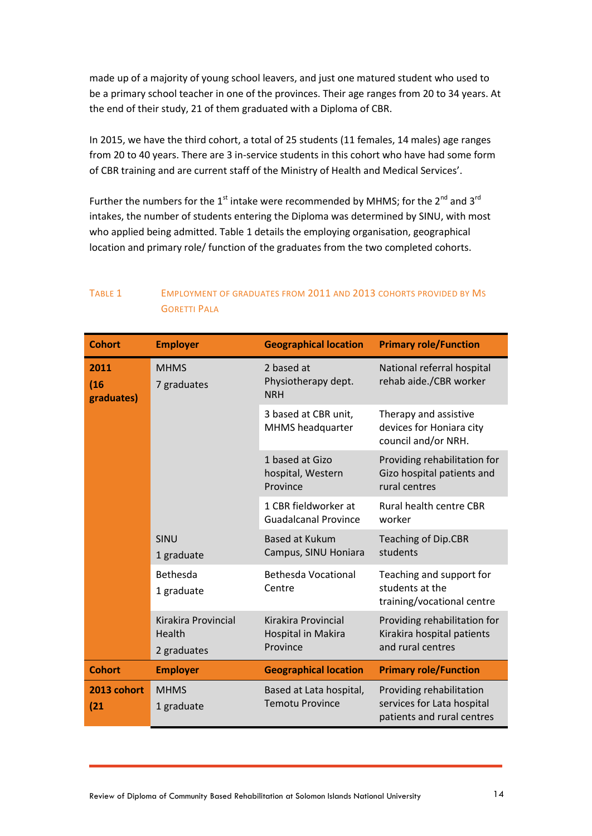made up of a majority of young school leavers, and just one matured student who used to be a primary school teacher in one of the provinces. Their age ranges from 20 to 34 years. At the end of their study, 21 of them graduated with a Diploma of CBR.

In 2015, we have the third cohort, a total of 25 students (11 females, 14 males) age ranges from 20 to 40 years. There are 3 in-service students in this cohort who have had some form of CBR training and are current staff of the Ministry of Health and Medical Services'.

Further the numbers for the  $1<sup>st</sup>$  intake were recommended by MHMS; for the  $2<sup>nd</sup>$  and  $3<sup>rd</sup>$ intakes, the number of students entering the Diploma was determined by SINU, with most who applied being admitted. Table 1 details the employing organisation, geographical location and primary role/ function of the graduates from the two completed cohorts.

#### TABLE 1 EMPLOYMENT OF GRADUATES FROM 2011 AND 2013 COHORTS PROVIDED BY MS GORETTI PALA

| <b>Cohort</b>              | <b>Employer</b>                              | <b>Geographical location</b>                          | <b>Primary role/Function</b>                                                         |
|----------------------------|----------------------------------------------|-------------------------------------------------------|--------------------------------------------------------------------------------------|
| 2011<br>(16)<br>graduates) | <b>MHMS</b><br>7 graduates                   | 2 based at<br>Physiotherapy dept.<br><b>NRH</b>       | National referral hospital<br>rehab aide./CBR worker                                 |
|                            |                                              | 3 based at CBR unit,<br>MHMS headquarter              | Therapy and assistive<br>devices for Honiara city<br>council and/or NRH.             |
|                            |                                              | 1 based at Gizo<br>hospital, Western<br>Province      | Providing rehabilitation for<br>Gizo hospital patients and<br>rural centres          |
|                            |                                              | 1 CBR fieldworker at<br><b>Guadalcanal Province</b>   | Rural health centre CBR<br>worker                                                    |
|                            | SINU<br>1 graduate                           | <b>Based at Kukum</b><br>Campus, SINU Honiara         | <b>Teaching of Dip.CBR</b><br>students                                               |
|                            | Bethesda<br>1 graduate                       | <b>Bethesda Vocational</b><br>Centre                  | Teaching and support for<br>students at the<br>training/vocational centre            |
|                            | Kirakira Provincial<br>Health<br>2 graduates | Kirakira Provincial<br>Hospital in Makira<br>Province | Providing rehabilitation for<br>Kirakira hospital patients<br>and rural centres      |
| <b>Cohort</b>              | <b>Employer</b>                              | <b>Geographical location</b>                          | <b>Primary role/Function</b>                                                         |
| 2013 cohort<br>(21)        | <b>MHMS</b><br>1 graduate                    | Based at Lata hospital,<br><b>Temotu Province</b>     | Providing rehabilitation<br>services for Lata hospital<br>patients and rural centres |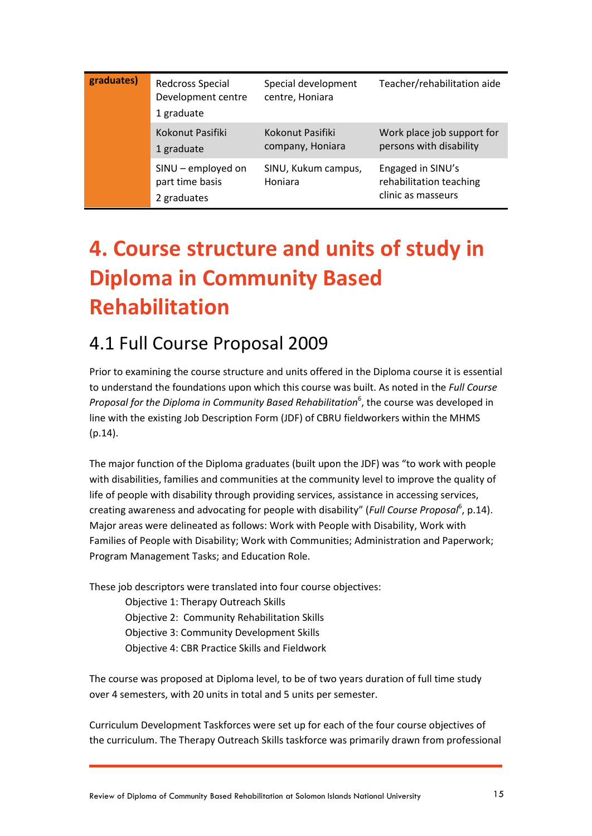| graduates) | Redcross Special<br>Development centre<br>1 graduate | Special development<br>centre, Honiara | Teacher/rehabilitation aide                                        |
|------------|------------------------------------------------------|----------------------------------------|--------------------------------------------------------------------|
|            | Kokonut Pasifiki<br>1 graduate                       | Kokonut Pasifiki<br>company, Honiara   | Work place job support for<br>persons with disability              |
|            | SINU - employed on<br>part time basis<br>2 graduates | SINU, Kukum campus,<br>Honiara         | Engaged in SINU's<br>rehabilitation teaching<br>clinic as masseurs |

## <span id="page-14-0"></span>**4. Course structure and units of study in Diploma in Community Based Rehabilitation**

### <span id="page-14-1"></span>4.1 Full Course Proposal 2009

Prior to examining the course structure and units offered in the Diploma course it is essential to understand the foundations upon which this course was built. As noted in the *Full Course*  Proposal for the Diploma in Community Based Rehabilitation<sup>6</sup>, the course was developed in line with the existing Job Description Form (JDF) of CBRU fieldworkers within the MHMS (p.14).

The major function of the Diploma graduates (built upon the JDF) was "to work with people with disabilities, families and communities at the community level to improve the quality of life of people with disability through providing services, assistance in accessing services, creating awareness and advocating for people with disability" (Full Course Proposal<sup>6</sup>, p.14). Major areas were delineated as follows: Work with People with Disability, Work with Families of People with Disability; Work with Communities; Administration and Paperwork; Program Management Tasks; and Education Role.

These job descriptors were translated into four course objectives:

Objective 1: Therapy Outreach Skills Objective 2: Community Rehabilitation Skills Objective 3: Community Development Skills Objective 4: CBR Practice Skills and Fieldwork

The course was proposed at Diploma level, to be of two years duration of full time study over 4 semesters, with 20 units in total and 5 units per semester.

Curriculum Development Taskforces were set up for each of the four course objectives of the curriculum. The Therapy Outreach Skills taskforce was primarily drawn from professional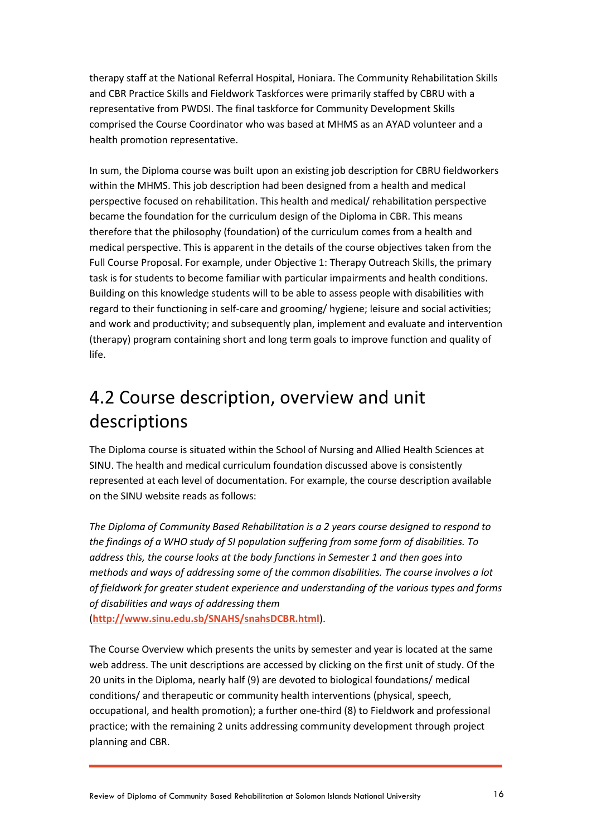therapy staff at the National Referral Hospital, Honiara. The Community Rehabilitation Skills and CBR Practice Skills and Fieldwork Taskforces were primarily staffed by CBRU with a representative from PWDSI. The final taskforce for Community Development Skills comprised the Course Coordinator who was based at MHMS as an AYAD volunteer and a health promotion representative.

In sum, the Diploma course was built upon an existing job description for CBRU fieldworkers within the MHMS. This job description had been designed from a health and medical perspective focused on rehabilitation. This health and medical/ rehabilitation perspective became the foundation for the curriculum design of the Diploma in CBR. This means therefore that the philosophy (foundation) of the curriculum comes from a health and medical perspective. This is apparent in the details of the course objectives taken from the Full Course Proposal. For example, under Objective 1: Therapy Outreach Skills, the primary task is for students to become familiar with particular impairments and health conditions. Building on this knowledge students will to be able to assess people with disabilities with regard to their functioning in self-care and grooming/ hygiene; leisure and social activities; and work and productivity; and subsequently plan, implement and evaluate and intervention (therapy) program containing short and long term goals to improve function and quality of life.

## <span id="page-15-0"></span>4.2 Course description, overview and unit descriptions

The Diploma course is situated within the School of Nursing and Allied Health Sciences at SINU. The health and medical curriculum foundation discussed above is consistently represented at each level of documentation. For example, the course description available on the SINU website reads as follows:

*The Diploma of Community Based Rehabilitation is a 2 years course designed to respond to the findings of a WHO study of SI population suffering from some form of disabilities. To address this, the course looks at the body functions in Semester 1 and then goes into methods and ways of addressing some of the common disabilities. The course involves a lot of fieldwork for greater student experience and understanding of the various types and forms of disabilities and ways of addressing them* 

(**<http://www.sinu.edu.sb/SNAHS/snahsDCBR.html>**).

The Course Overview which presents the units by semester and year is located at the same web address. The unit descriptions are accessed by clicking on the first unit of study. Of the 20 units in the Diploma, nearly half (9) are devoted to biological foundations/ medical conditions/ and therapeutic or community health interventions (physical, speech, occupational, and health promotion); a further one-third (8) to Fieldwork and professional practice; with the remaining 2 units addressing community development through project planning and CBR.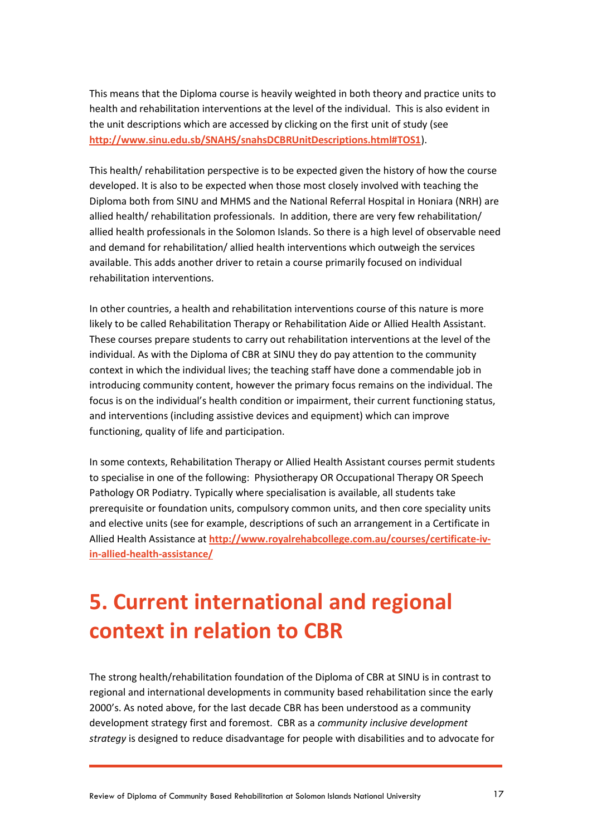This means that the Diploma course is heavily weighted in both theory and practice units to health and rehabilitation interventions at the level of the individual. This is also evident in the unit descriptions which are accessed by clicking on the first unit of study (see **<http://www.sinu.edu.sb/SNAHS/snahsDCBRUnitDescriptions.html#TOS1>**).

This health/ rehabilitation perspective is to be expected given the history of how the course developed. It is also to be expected when those most closely involved with teaching the Diploma both from SINU and MHMS and the National Referral Hospital in Honiara (NRH) are allied health/ rehabilitation professionals. In addition, there are very few rehabilitation/ allied health professionals in the Solomon Islands. So there is a high level of observable need and demand for rehabilitation/ allied health interventions which outweigh the services available. This adds another driver to retain a course primarily focused on individual rehabilitation interventions.

In other countries, a health and rehabilitation interventions course of this nature is more likely to be called Rehabilitation Therapy or Rehabilitation Aide or Allied Health Assistant. These courses prepare students to carry out rehabilitation interventions at the level of the individual. As with the Diploma of CBR at SINU they do pay attention to the community context in which the individual lives; the teaching staff have done a commendable job in introducing community content, however the primary focus remains on the individual. The focus is on the individual's health condition or impairment, their current functioning status, and interventions (including assistive devices and equipment) which can improve functioning, quality of life and participation.

In some contexts, Rehabilitation Therapy or Allied Health Assistant courses permit students to specialise in one of the following: Physiotherapy OR Occupational Therapy OR Speech Pathology OR Podiatry. Typically where specialisation is available, all students take prerequisite or foundation units, compulsory common units, and then core speciality units and elective units (see for example, descriptions of such an arrangement in a Certificate in Allied Health Assistance at **[http://www.royalrehabcollege.com.au/courses/certificate-iv](http://www.royalrehabcollege.com.au/courses/certificate-iv-in-allied-health-assistance/)[in-allied-health-assistance/](http://www.royalrehabcollege.com.au/courses/certificate-iv-in-allied-health-assistance/)**

## <span id="page-16-0"></span>**5. Current international and regional context in relation to CBR**

The strong health/rehabilitation foundation of the Diploma of CBR at SINU is in contrast to regional and international developments in community based rehabilitation since the early 2000's. As noted above, for the last decade CBR has been understood as a community development strategy first and foremost. CBR as a *community inclusive development strategy* is designed to reduce disadvantage for people with disabilities and to advocate for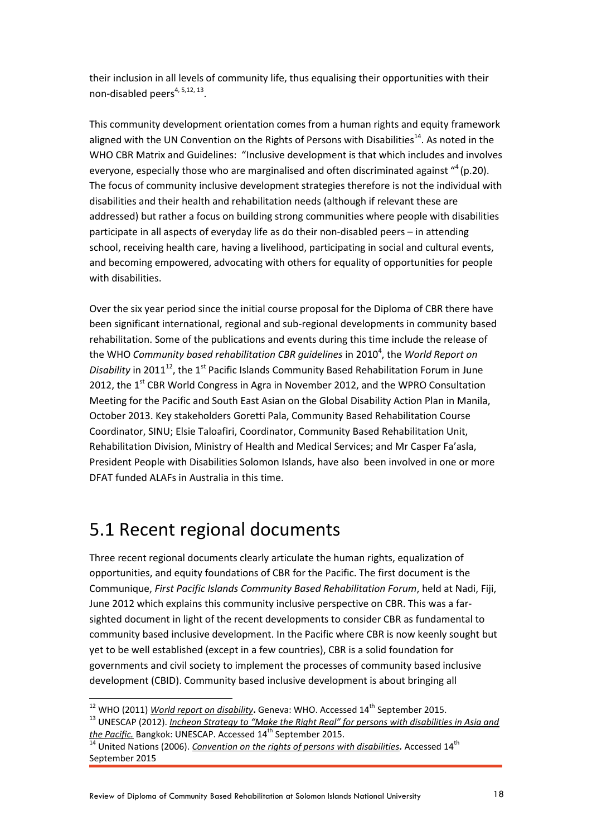their inclusion in all levels of community life, thus equalising their opportunities with their non-disabled peers<sup>4, 5,12, 13</sup>.

This community development orientation comes from a human rights and equity framework aligned with the UN Convention on the Rights of Persons with Disabilities<sup>14</sup>. As noted in the WHO CBR Matrix and Guidelines: "Inclusive development is that which includes and involves everyone, especially those who are marginalised and often discriminated against "<sup>4</sup> (p.20). The focus of community inclusive development strategies therefore is not the individual with disabilities and their health and rehabilitation needs (although if relevant these are addressed) but rather a focus on building strong communities where people with disabilities participate in all aspects of everyday life as do their non-disabled peers – in attending school, receiving health care, having a livelihood, participating in social and cultural events, and becoming empowered, advocating with others for equality of opportunities for people with disabilities.

Over the six year period since the initial course proposal for the Diploma of CBR there have been significant international, regional and sub-regional developments in community based rehabilitation. Some of the publications and events during this time include the release of the WHO *Community based rehabilitation CBR guidelines* in 2010<sup>4</sup>, the World Report on *Disability* in 2011<sup>12</sup>, the 1<sup>st</sup> Pacific Islands Community Based Rehabilitation Forum in June 2012, the 1<sup>st</sup> CBR World Congress in Agra in November 2012, and the WPRO Consultation Meeting for the Pacific and South East Asian on the Global Disability Action Plan in Manila, October 2013. Key stakeholders Goretti Pala, Community Based Rehabilitation Course Coordinator, SINU; Elsie Taloafiri, Coordinator, Community Based Rehabilitation Unit, Rehabilitation Division, Ministry of Health and Medical Services; and Mr Casper Fa'asla, President People with Disabilities Solomon Islands, have also been involved in one or more DFAT funded ALAFs in Australia in this time.

### <span id="page-17-0"></span>5.1 Recent regional documents

Three recent regional documents clearly articulate the human rights, equalization of opportunities, and equity foundations of CBR for the Pacific. The first document is the Communique, *First Pacific Islands Community Based Rehabilitation Forum*, held at Nadi, Fiji, June 2012 which explains this community inclusive perspective on CBR. This was a farsighted document in light of the recent developments to consider CBR as fundamental to community based inclusive development. In the Pacific where CBR is now keenly sought but yet to be well established (except in a few countries), CBR is a solid foundation for governments and civil society to implement the processes of community based inclusive development (CBID). Community based inclusive development is about bringing all

<sup>&</sup>lt;sup>12</sup> WHO (2011) *[World report on disability](http://www.who.int/disabilities/world_report/2011/en/)***.** Geneva: WHO. Accessed 14<sup>th</sup> September 2015.

<sup>13</sup> UNESCAP (2012). *[Incheon Strategy to "Make the Right Real" for persons with disabilities in Asia and](http://www.unescapsdd.org/files/documents/PUB_Incheon-Strategy-EN.pdf)  the Pacific*. Bangkok: UNESCAP. Accessed 14<sup>th</sup> September 2015.

<sup>14</sup> United Nations (2006). *[Convention on the rights of persons with disabilities](http://www.un.org/disabilities/convention/conventionfull.shtml).* Accessed 14th September 2015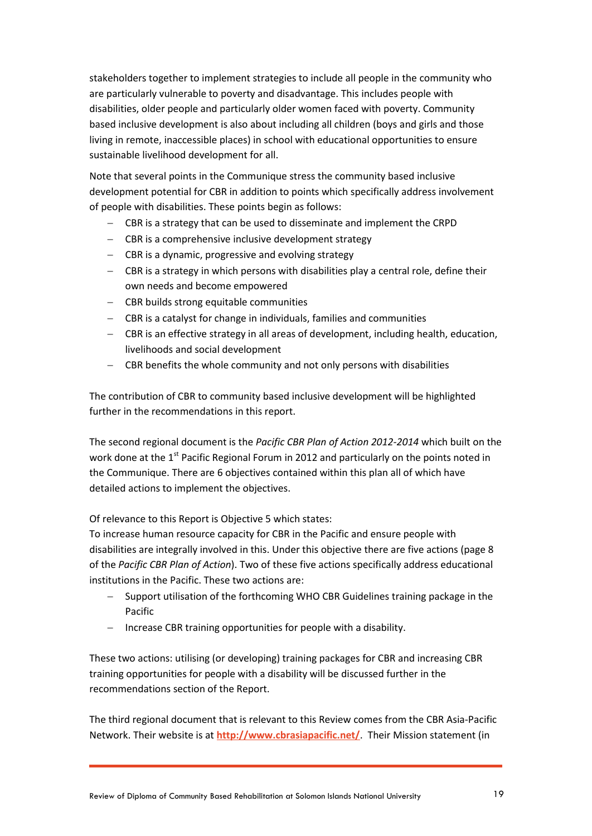stakeholders together to implement strategies to include all people in the community who are particularly vulnerable to poverty and disadvantage. This includes people with disabilities, older people and particularly older women faced with poverty. Community based inclusive development is also about including all children (boys and girls and those living in remote, inaccessible places) in school with educational opportunities to ensure sustainable livelihood development for all.

Note that several points in the Communique stress the community based inclusive development potential for CBR in addition to points which specifically address involvement of people with disabilities. These points begin as follows:

- CBR is a strategy that can be used to disseminate and implement the CRPD
- $-$  CBR is a comprehensive inclusive development strategy
- CBR is a dynamic, progressive and evolving strategy
- CBR is a strategy in which persons with disabilities play a central role, define their own needs and become empowered
- CBR builds strong equitable communities
- CBR is a catalyst for change in individuals, families and communities
- CBR is an effective strategy in all areas of development, including health, education, livelihoods and social development
- CBR benefits the whole community and not only persons with disabilities

The contribution of CBR to community based inclusive development will be highlighted further in the recommendations in this report.

The second regional document is the *Pacific CBR Plan of Action 2012-2014* which built on the work done at the 1<sup>st</sup> Pacific Regional Forum in 2012 and particularly on the points noted in the Communique. There are 6 objectives contained within this plan all of which have detailed actions to implement the objectives.

Of relevance to this Report is Objective 5 which states:

To increase human resource capacity for CBR in the Pacific and ensure people with disabilities are integrally involved in this. Under this objective there are five actions (page 8 of the *Pacific CBR Plan of Action*). Two of these five actions specifically address educational institutions in the Pacific. These two actions are:

- Support utilisation of the forthcoming WHO CBR Guidelines training package in the Pacific
- $-$  Increase CBR training opportunities for people with a disability.

These two actions: utilising (or developing) training packages for CBR and increasing CBR training opportunities for people with a disability will be discussed further in the recommendations section of the Report.

The third regional document that is relevant to this Review comes from the CBR Asia-Pacific Network. Their website is at **<http://www.cbrasiapacific.net/>**. Their Mission statement (in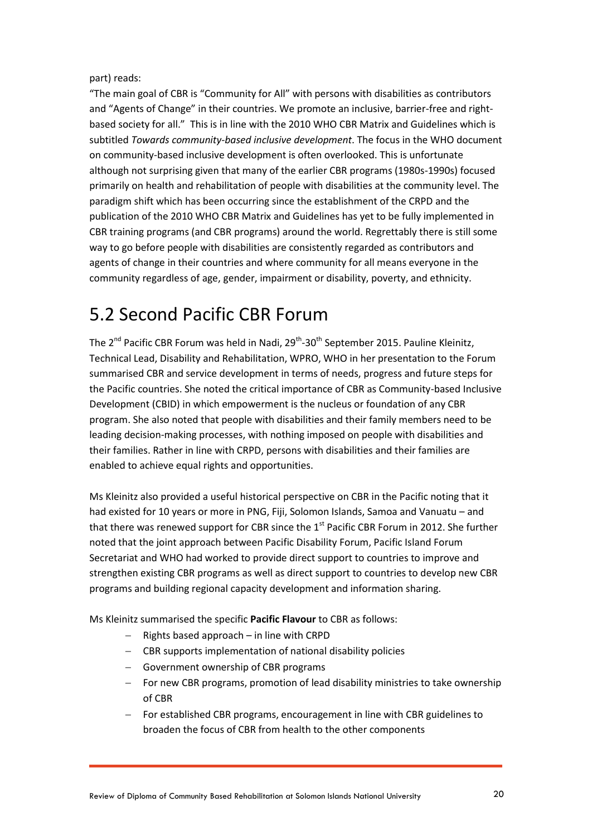part) reads:

"The main goal of CBR is "Community for All" with persons with disabilities as contributors and "Agents of Change" in their countries. We promote an inclusive, barrier-free and rightbased society for all." This is in line with the 2010 WHO CBR Matrix and Guidelines which is subtitled *Towards community-based inclusive development*. The focus in the WHO document on community-based inclusive development is often overlooked. This is unfortunate although not surprising given that many of the earlier CBR programs (1980s-1990s) focused primarily on health and rehabilitation of people with disabilities at the community level. The paradigm shift which has been occurring since the establishment of the CRPD and the publication of the 2010 WHO CBR Matrix and Guidelines has yet to be fully implemented in CBR training programs (and CBR programs) around the world. Regrettably there is still some way to go before people with disabilities are consistently regarded as contributors and agents of change in their countries and where community for all means everyone in the community regardless of age, gender, impairment or disability, poverty, and ethnicity.

## <span id="page-19-0"></span>5.2 Second Pacific CBR Forum

The 2<sup>nd</sup> Pacific CBR Forum was held in Nadi, 29<sup>th</sup>-30<sup>th</sup> September 2015. Pauline Kleinitz, Technical Lead, Disability and Rehabilitation, WPRO, WHO in her presentation to the Forum summarised CBR and service development in terms of needs, progress and future steps for the Pacific countries. She noted the critical importance of CBR as Community-based Inclusive Development (CBID) in which empowerment is the nucleus or foundation of any CBR program. She also noted that people with disabilities and their family members need to be leading decision-making processes, with nothing imposed on people with disabilities and their families. Rather in line with CRPD, persons with disabilities and their families are enabled to achieve equal rights and opportunities.

Ms Kleinitz also provided a useful historical perspective on CBR in the Pacific noting that it had existed for 10 years or more in PNG, Fiji, Solomon Islands, Samoa and Vanuatu – and that there was renewed support for CBR since the  $1<sup>st</sup>$  Pacific CBR Forum in 2012. She further noted that the joint approach between Pacific Disability Forum, Pacific Island Forum Secretariat and WHO had worked to provide direct support to countries to improve and strengthen existing CBR programs as well as direct support to countries to develop new CBR programs and building regional capacity development and information sharing.

Ms Kleinitz summarised the specific **Pacific Flavour** to CBR as follows:

- $-$  Rights based approach in line with CRPD
- CBR supports implementation of national disability policies
- Government ownership of CBR programs
- For new CBR programs, promotion of lead disability ministries to take ownership of CBR
- For established CBR programs, encouragement in line with CBR guidelines to broaden the focus of CBR from health to the other components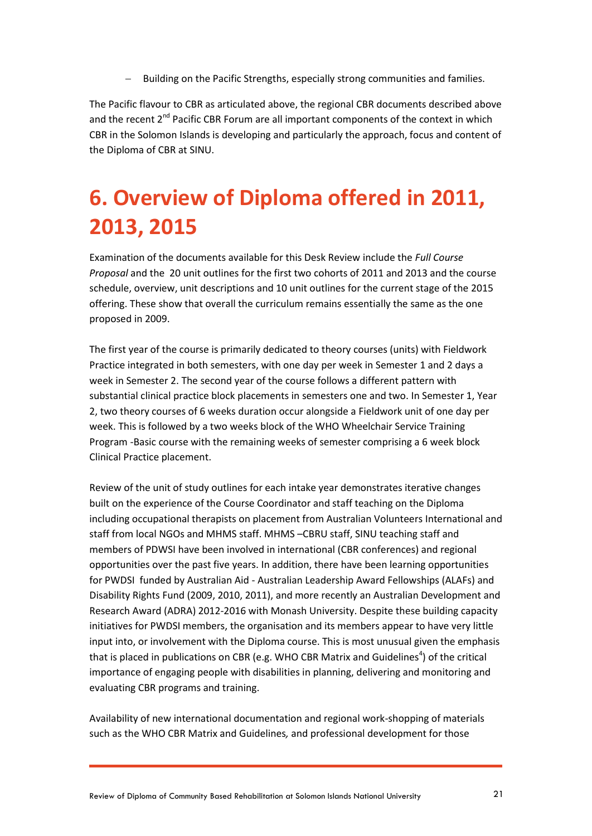Building on the Pacific Strengths, especially strong communities and families.

The Pacific flavour to CBR as articulated above, the regional CBR documents described above and the recent 2<sup>nd</sup> Pacific CBR Forum are all important components of the context in which CBR in the Solomon Islands is developing and particularly the approach, focus and content of the Diploma of CBR at SINU.

## <span id="page-20-0"></span>**6. Overview of Diploma offered in 2011, 2013, 2015**

Examination of the documents available for this Desk Review include the *Full Course Proposal* and the 20 unit outlines for the first two cohorts of 2011 and 2013 and the course schedule, overview, unit descriptions and 10 unit outlines for the current stage of the 2015 offering. These show that overall the curriculum remains essentially the same as the one proposed in 2009.

The first year of the course is primarily dedicated to theory courses (units) with Fieldwork Practice integrated in both semesters, with one day per week in Semester 1 and 2 days a week in Semester 2. The second year of the course follows a different pattern with substantial clinical practice block placements in semesters one and two. In Semester 1, Year 2, two theory courses of 6 weeks duration occur alongside a Fieldwork unit of one day per week. This is followed by a two weeks block of the WHO Wheelchair Service Training Program -Basic course with the remaining weeks of semester comprising a 6 week block Clinical Practice placement.

Review of the unit of study outlines for each intake year demonstrates iterative changes built on the experience of the Course Coordinator and staff teaching on the Diploma including occupational therapists on placement from Australian Volunteers International and staff from local NGOs and MHMS staff. MHMS –CBRU staff, SINU teaching staff and members of PDWSI have been involved in international (CBR conferences) and regional opportunities over the past five years. In addition, there have been learning opportunities for PWDSI funded by Australian Aid - Australian Leadership Award Fellowships (ALAFs) and Disability Rights Fund (2009, 2010, 2011), and more recently an Australian Development and Research Award (ADRA) 2012-2016 with Monash University. Despite these building capacity initiatives for PWDSI members, the organisation and its members appear to have very little input into, or involvement with the Diploma course. This is most unusual given the emphasis that is placed in publications on CBR (e.g. WHO CBR Matrix and Guidelines<sup>4</sup>) of the critical importance of engaging people with disabilities in planning, delivering and monitoring and evaluating CBR programs and training.

Availability of new international documentation and regional work-shopping of materials such as the WHO CBR Matrix and Guidelines*,* and professional development for those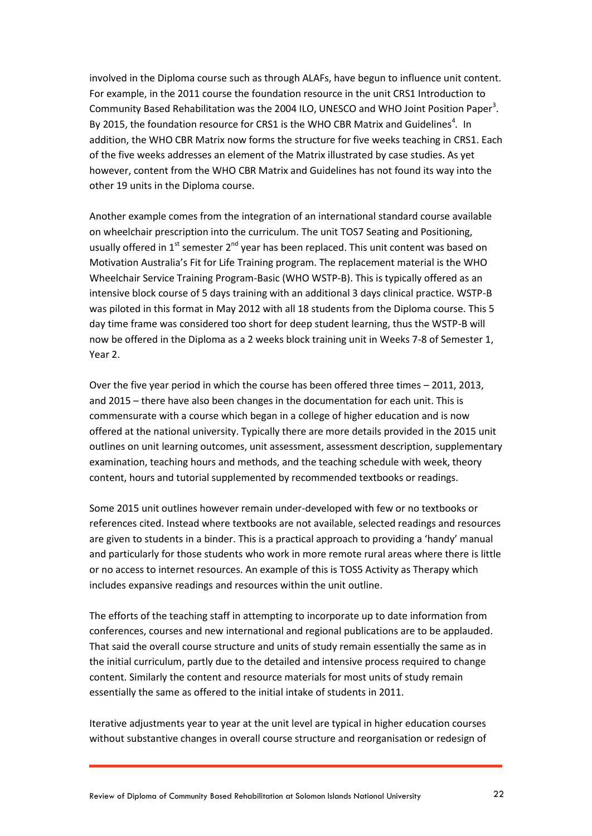involved in the Diploma course such as through ALAFs, have begun to influence unit content. For example, in the 2011 course the foundation resource in the unit CRS1 Introduction to Community Based Rehabilitation was the 2004 ILO, UNESCO and WHO Joint Position Paper<sup>3</sup>. By 2015, the foundation resource for CRS1 is the WHO CBR Matrix and Guidelines<sup>4</sup>. In addition, the WHO CBR Matrix now forms the structure for five weeks teaching in CRS1. Each of the five weeks addresses an element of the Matrix illustrated by case studies. As yet however, content from the WHO CBR Matrix and Guidelines has not found its way into the other 19 units in the Diploma course.

Another example comes from the integration of an international standard course available on wheelchair prescription into the curriculum. The unit TOS7 Seating and Positioning, usually offered in  $1<sup>st</sup>$  semester  $2<sup>nd</sup>$  year has been replaced. This unit content was based on Motivation Australia's Fit for Life Training program. The replacement material is the WHO Wheelchair Service Training Program-Basic (WHO WSTP-B). This is typically offered as an intensive block course of 5 days training with an additional 3 days clinical practice. WSTP-B was piloted in this format in May 2012 with all 18 students from the Diploma course. This 5 day time frame was considered too short for deep student learning, thus the WSTP-B will now be offered in the Diploma as a 2 weeks block training unit in Weeks 7-8 of Semester 1, Year 2.

Over the five year period in which the course has been offered three times – 2011, 2013, and 2015 – there have also been changes in the documentation for each unit. This is commensurate with a course which began in a college of higher education and is now offered at the national university. Typically there are more details provided in the 2015 unit outlines on unit learning outcomes, unit assessment, assessment description, supplementary examination, teaching hours and methods, and the teaching schedule with week, theory content, hours and tutorial supplemented by recommended textbooks or readings.

Some 2015 unit outlines however remain under-developed with few or no textbooks or references cited. Instead where textbooks are not available, selected readings and resources are given to students in a binder. This is a practical approach to providing a 'handy' manual and particularly for those students who work in more remote rural areas where there is little or no access to internet resources. An example of this is TOS5 Activity as Therapy which includes expansive readings and resources within the unit outline.

The efforts of the teaching staff in attempting to incorporate up to date information from conferences, courses and new international and regional publications are to be applauded. That said the overall course structure and units of study remain essentially the same as in the initial curriculum, partly due to the detailed and intensive process required to change content. Similarly the content and resource materials for most units of study remain essentially the same as offered to the initial intake of students in 2011.

Iterative adjustments year to year at the unit level are typical in higher education courses without substantive changes in overall course structure and reorganisation or redesign of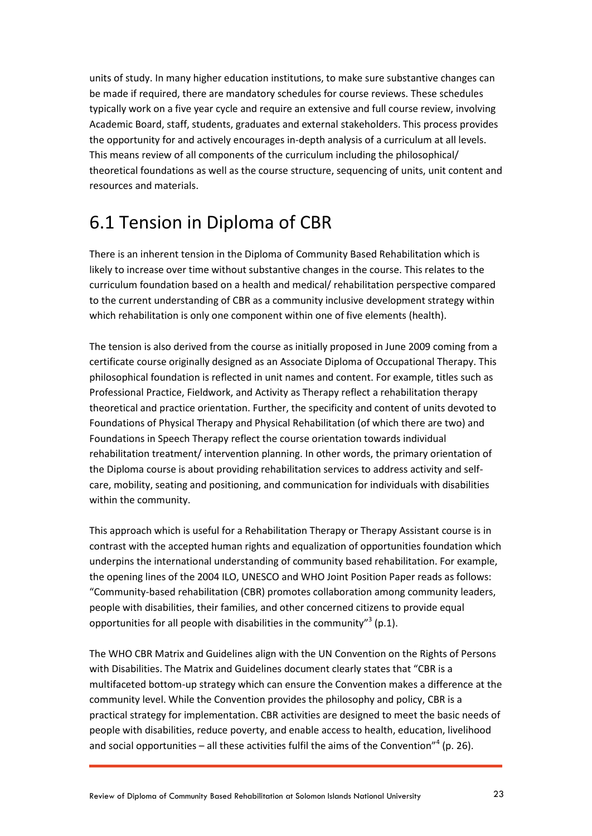units of study. In many higher education institutions, to make sure substantive changes can be made if required, there are mandatory schedules for course reviews. These schedules typically work on a five year cycle and require an extensive and full course review, involving Academic Board, staff, students, graduates and external stakeholders. This process provides the opportunity for and actively encourages in-depth analysis of a curriculum at all levels. This means review of all components of the curriculum including the philosophical/ theoretical foundations as well as the course structure, sequencing of units, unit content and resources and materials.

### <span id="page-22-0"></span>6.1 Tension in Diploma of CBR

There is an inherent tension in the Diploma of Community Based Rehabilitation which is likely to increase over time without substantive changes in the course. This relates to the curriculum foundation based on a health and medical/ rehabilitation perspective compared to the current understanding of CBR as a community inclusive development strategy within which rehabilitation is only one component within one of five elements (health).

The tension is also derived from the course as initially proposed in June 2009 coming from a certificate course originally designed as an Associate Diploma of Occupational Therapy. This philosophical foundation is reflected in unit names and content. For example, titles such as Professional Practice, Fieldwork, and Activity as Therapy reflect a rehabilitation therapy theoretical and practice orientation. Further, the specificity and content of units devoted to Foundations of Physical Therapy and Physical Rehabilitation (of which there are two) and Foundations in Speech Therapy reflect the course orientation towards individual rehabilitation treatment/ intervention planning. In other words, the primary orientation of the Diploma course is about providing rehabilitation services to address activity and selfcare, mobility, seating and positioning, and communication for individuals with disabilities within the community.

This approach which is useful for a Rehabilitation Therapy or Therapy Assistant course is in contrast with the accepted human rights and equalization of opportunities foundation which underpins the international understanding of community based rehabilitation. For example, the opening lines of the 2004 ILO, UNESCO and WHO Joint Position Paper reads as follows: "Community-based rehabilitation (CBR) promotes collaboration among community leaders, people with disabilities, their families, and other concerned citizens to provide equal opportunities for all people with disabilities in the community"<sup>3</sup> (p.1).

The WHO CBR Matrix and Guidelines align with the UN Convention on the Rights of Persons with Disabilities. The Matrix and Guidelines document clearly states that "CBR is a multifaceted bottom-up strategy which can ensure the Convention makes a difference at the community level. While the Convention provides the philosophy and policy, CBR is a practical strategy for implementation. CBR activities are designed to meet the basic needs of people with disabilities, reduce poverty, and enable access to health, education, livelihood and social opportunities  $-$  all these activities fulfil the aims of the Convention"<sup>4</sup> (p. 26).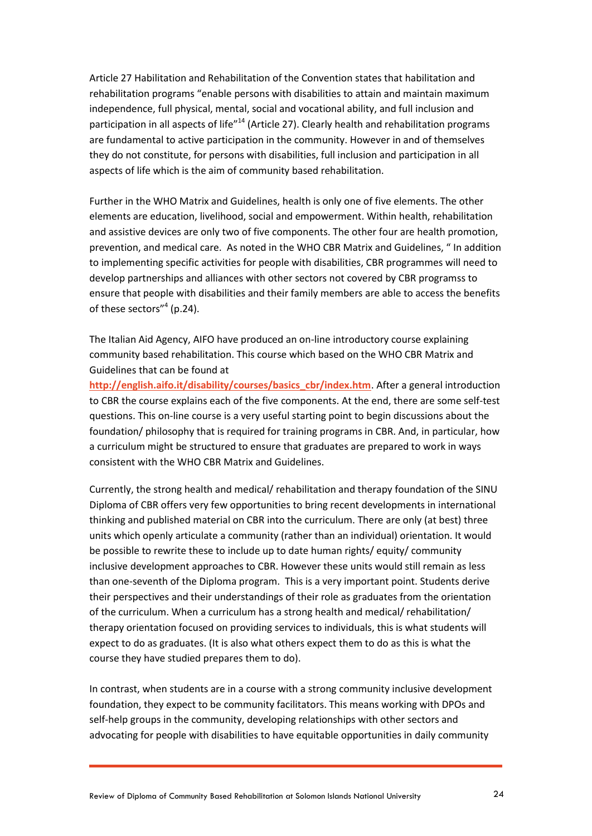Article 27 Habilitation and Rehabilitation of the Convention states that habilitation and rehabilitation programs "enable persons with disabilities to attain and maintain maximum independence, full physical, mental, social and vocational ability, and full inclusion and participation in all aspects of life<sup>"14</sup> (Article 27). Clearly health and rehabilitation programs are fundamental to active participation in the community. However in and of themselves they do not constitute, for persons with disabilities, full inclusion and participation in all aspects of life which is the aim of community based rehabilitation.

Further in the WHO Matrix and Guidelines, health is only one of five elements. The other elements are education, livelihood, social and empowerment. Within health, rehabilitation and assistive devices are only two of five components. The other four are health promotion, prevention, and medical care. As noted in the WHO CBR Matrix and Guidelines, " In addition to implementing specific activities for people with disabilities, CBR programmes will need to develop partnerships and alliances with other sectors not covered by CBR programss to ensure that people with disabilities and their family members are able to access the benefits of these sectors"<sup>4</sup> (p.24).

The Italian Aid Agency, AIFO have produced an on-line introductory course explaining community based rehabilitation. This course which based on the WHO CBR Matrix and Guidelines that can be found at

**[http://english.aifo.it/disability/courses/basics\\_cbr/index.htm](http://english.aifo.it/disability/courses/basics_cbr/index.htm)**. After a general introduction to CBR the course explains each of the five components. At the end, there are some self-test questions. This on-line course is a very useful starting point to begin discussions about the foundation/ philosophy that is required for training programs in CBR. And, in particular, how a curriculum might be structured to ensure that graduates are prepared to work in ways consistent with the WHO CBR Matrix and Guidelines.

Currently, the strong health and medical/ rehabilitation and therapy foundation of the SINU Diploma of CBR offers very few opportunities to bring recent developments in international thinking and published material on CBR into the curriculum. There are only (at best) three units which openly articulate a community (rather than an individual) orientation. It would be possible to rewrite these to include up to date human rights/ equity/ community inclusive development approaches to CBR. However these units would still remain as less than one-seventh of the Diploma program. This is a very important point. Students derive their perspectives and their understandings of their role as graduates from the orientation of the curriculum. When a curriculum has a strong health and medical/ rehabilitation/ therapy orientation focused on providing services to individuals, this is what students will expect to do as graduates. (It is also what others expect them to do as this is what the course they have studied prepares them to do).

In contrast, when students are in a course with a strong community inclusive development foundation, they expect to be community facilitators. This means working with DPOs and self-help groups in the community, developing relationships with other sectors and advocating for people with disabilities to have equitable opportunities in daily community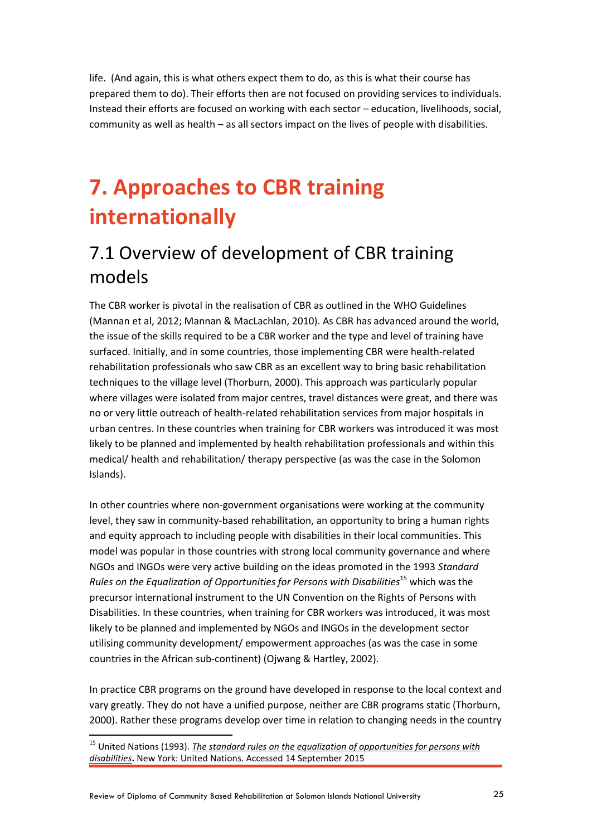life. (And again, this is what others expect them to do, as this is what their course has prepared them to do). Their efforts then are not focused on providing services to individuals. Instead their efforts are focused on working with each sector – education, livelihoods, social, community as well as health – as all sectors impact on the lives of people with disabilities.

## <span id="page-24-0"></span>**7. Approaches to CBR training internationally**

## <span id="page-24-1"></span>7.1 Overview of development of CBR training models

The CBR worker is pivotal in the realisation of CBR as outlined in the WHO Guidelines (Mannan et al, 2012; Mannan & MacLachlan, 2010). As CBR has advanced around the world, the issue of the skills required to be a CBR worker and the type and level of training have surfaced. Initially, and in some countries, those implementing CBR were health-related rehabilitation professionals who saw CBR as an excellent way to bring basic rehabilitation techniques to the village level (Thorburn, 2000). This approach was particularly popular where villages were isolated from major centres, travel distances were great, and there was no or very little outreach of health-related rehabilitation services from major hospitals in urban centres. In these countries when training for CBR workers was introduced it was most likely to be planned and implemented by health rehabilitation professionals and within this medical/ health and rehabilitation/ therapy perspective (as was the case in the Solomon Islands).

In other countries where non-government organisations were working at the community level, they saw in community-based rehabilitation, an opportunity to bring a human rights and equity approach to including people with disabilities in their local communities. This model was popular in those countries with strong local community governance and where NGOs and INGOs were very active building on the ideas promoted in the 1993 *Standard Rules on the Equalization of Opportunities for Persons with Disabilities*<sup>15</sup> which was the precursor international instrument to the UN Convention on the Rights of Persons with Disabilities. In these countries, when training for CBR workers was introduced, it was most likely to be planned and implemented by NGOs and INGOs in the development sector utilising community development/ empowerment approaches (as was the case in some countries in the African sub-continent) (Ojwang & Hartley, 2002).

In practice CBR programs on the ground have developed in response to the local context and vary greatly. They do not have a unified purpose, neither are CBR programs static (Thorburn, 2000). Rather these programs develop over time in relation to changing needs in the country

<sup>&</sup>lt;sup>15</sup> United Nations (1993). *The standard rules on the equalization of opportunities for persons with [disabilities](http://www.un.org/disabilities/default.asp?id=26)***.** New York: United Nations. Accessed 14 September 2015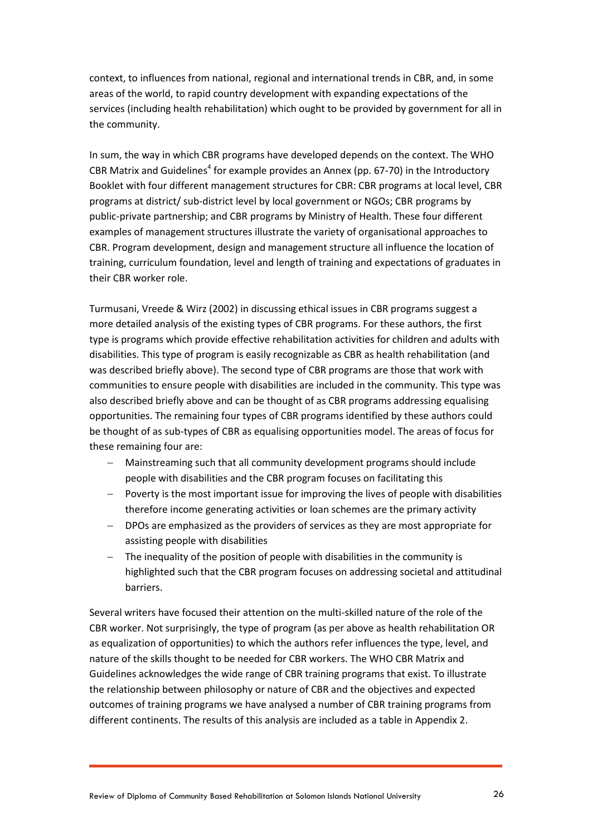context, to influences from national, regional and international trends in CBR, and, in some areas of the world, to rapid country development with expanding expectations of the services (including health rehabilitation) which ought to be provided by government for all in the community.

In sum, the way in which CBR programs have developed depends on the context. The WHO CBR Matrix and Guidelines<sup>4</sup> for example provides an Annex (pp. 67-70) in the Introductory Booklet with four different management structures for CBR: CBR programs at local level, CBR programs at district/ sub-district level by local government or NGOs; CBR programs by public-private partnership; and CBR programs by Ministry of Health. These four different examples of management structures illustrate the variety of organisational approaches to CBR. Program development, design and management structure all influence the location of training, curriculum foundation, level and length of training and expectations of graduates in their CBR worker role.

Turmusani, Vreede & Wirz (2002) in discussing ethical issues in CBR programs suggest a more detailed analysis of the existing types of CBR programs. For these authors, the first type is programs which provide effective rehabilitation activities for children and adults with disabilities. This type of program is easily recognizable as CBR as health rehabilitation (and was described briefly above). The second type of CBR programs are those that work with communities to ensure people with disabilities are included in the community. This type was also described briefly above and can be thought of as CBR programs addressing equalising opportunities. The remaining four types of CBR programs identified by these authors could be thought of as sub-types of CBR as equalising opportunities model. The areas of focus for these remaining four are:

- Mainstreaming such that all community development programs should include people with disabilities and the CBR program focuses on facilitating this
- Poverty is the most important issue for improving the lives of people with disabilities therefore income generating activities or loan schemes are the primary activity
- DPOs are emphasized as the providers of services as they are most appropriate for assisting people with disabilities
- The inequality of the position of people with disabilities in the community is highlighted such that the CBR program focuses on addressing societal and attitudinal barriers.

Several writers have focused their attention on the multi-skilled nature of the role of the CBR worker. Not surprisingly, the type of program (as per above as health rehabilitation OR as equalization of opportunities) to which the authors refer influences the type, level, and nature of the skills thought to be needed for CBR workers. The WHO CBR Matrix and Guidelines acknowledges the wide range of CBR training programs that exist. To illustrate the relationship between philosophy or nature of CBR and the objectives and expected outcomes of training programs we have analysed a number of CBR training programs from different continents. The results of this analysis are included as a table in Appendix 2.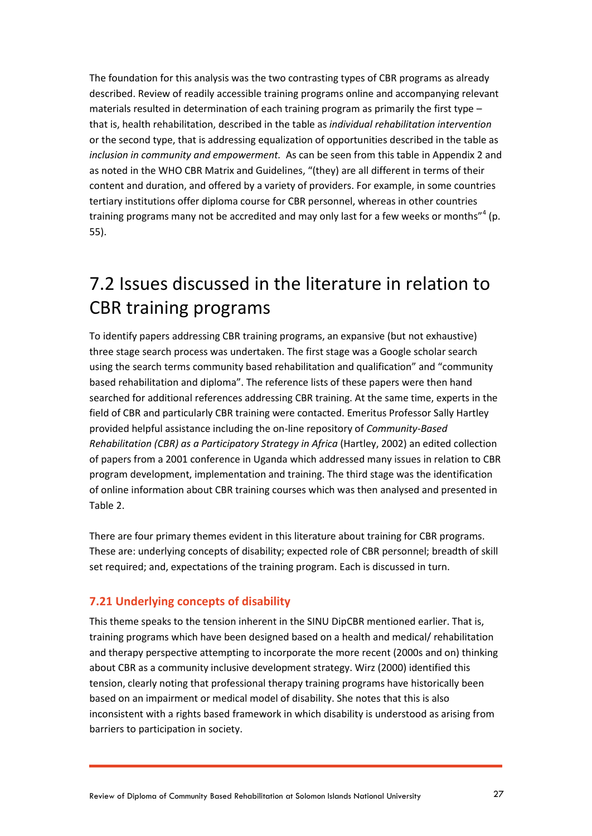The foundation for this analysis was the two contrasting types of CBR programs as already described. Review of readily accessible training programs online and accompanying relevant materials resulted in determination of each training program as primarily the first type – that is, health rehabilitation, described in the table as *individual rehabilitation intervention*  or the second type, that is addressing equalization of opportunities described in the table as *inclusion in community and empowerment.* As can be seen from this table in Appendix 2 and as noted in the WHO CBR Matrix and Guidelines, "(they) are all different in terms of their content and duration, and offered by a variety of providers. For example, in some countries tertiary institutions offer diploma course for CBR personnel, whereas in other countries training programs many not be accredited and may only last for a few weeks or months"<sup>4</sup> (p. 55).

## <span id="page-26-0"></span>7.2 Issues discussed in the literature in relation to CBR training programs

To identify papers addressing CBR training programs, an expansive (but not exhaustive) three stage search process was undertaken. The first stage was a Google scholar search using the search terms community based rehabilitation and qualification" and "community based rehabilitation and diploma". The reference lists of these papers were then hand searched for additional references addressing CBR training. At the same time, experts in the field of CBR and particularly CBR training were contacted. Emeritus Professor Sally Hartley provided helpful assistance including the on-line repository of *Community-Based Rehabilitation (CBR) as a Participatory Strategy in Africa* (Hartley, 2002) an edited collection of papers from a 2001 conference in Uganda which addressed many issues in relation to CBR program development, implementation and training. The third stage was the identification of online information about CBR training courses which was then analysed and presented in Table 2.

There are four primary themes evident in this literature about training for CBR programs. These are: underlying concepts of disability; expected role of CBR personnel; breadth of skill set required; and, expectations of the training program. Each is discussed in turn.

#### **7.21 Underlying concepts of disability**

This theme speaks to the tension inherent in the SINU DipCBR mentioned earlier. That is, training programs which have been designed based on a health and medical/ rehabilitation and therapy perspective attempting to incorporate the more recent (2000s and on) thinking about CBR as a community inclusive development strategy. Wirz (2000) identified this tension, clearly noting that professional therapy training programs have historically been based on an impairment or medical model of disability. She notes that this is also inconsistent with a rights based framework in which disability is understood as arising from barriers to participation in society.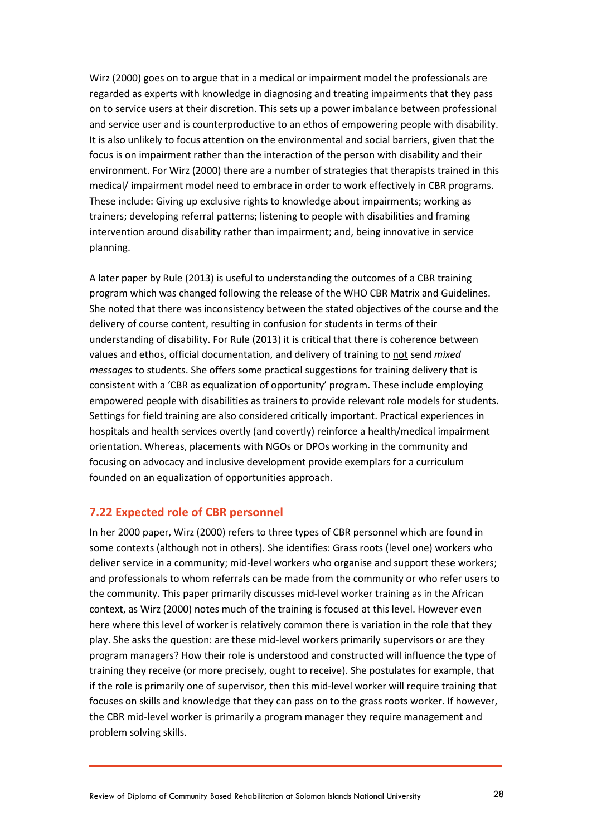Wirz (2000) goes on to argue that in a medical or impairment model the professionals are regarded as experts with knowledge in diagnosing and treating impairments that they pass on to service users at their discretion. This sets up a power imbalance between professional and service user and is counterproductive to an ethos of empowering people with disability. It is also unlikely to focus attention on the environmental and social barriers, given that the focus is on impairment rather than the interaction of the person with disability and their environment. For Wirz (2000) there are a number of strategies that therapists trained in this medical/ impairment model need to embrace in order to work effectively in CBR programs. These include: Giving up exclusive rights to knowledge about impairments; working as trainers; developing referral patterns; listening to people with disabilities and framing intervention around disability rather than impairment; and, being innovative in service planning.

A later paper by Rule (2013) is useful to understanding the outcomes of a CBR training program which was changed following the release of the WHO CBR Matrix and Guidelines. She noted that there was inconsistency between the stated objectives of the course and the delivery of course content, resulting in confusion for students in terms of their understanding of disability. For Rule (2013) it is critical that there is coherence between values and ethos, official documentation, and delivery of training to not send *mixed messages* to students. She offers some practical suggestions for training delivery that is consistent with a 'CBR as equalization of opportunity' program. These include employing empowered people with disabilities as trainers to provide relevant role models for students. Settings for field training are also considered critically important. Practical experiences in hospitals and health services overtly (and covertly) reinforce a health/medical impairment orientation. Whereas, placements with NGOs or DPOs working in the community and focusing on advocacy and inclusive development provide exemplars for a curriculum founded on an equalization of opportunities approach.

#### **7.22 Expected role of CBR personnel**

In her 2000 paper, Wirz (2000) refers to three types of CBR personnel which are found in some contexts (although not in others). She identifies: Grass roots (level one) workers who deliver service in a community; mid-level workers who organise and support these workers; and professionals to whom referrals can be made from the community or who refer users to the community. This paper primarily discusses mid-level worker training as in the African context, as Wirz (2000) notes much of the training is focused at this level. However even here where this level of worker is relatively common there is variation in the role that they play. She asks the question: are these mid-level workers primarily supervisors or are they program managers? How their role is understood and constructed will influence the type of training they receive (or more precisely, ought to receive). She postulates for example, that if the role is primarily one of supervisor, then this mid-level worker will require training that focuses on skills and knowledge that they can pass on to the grass roots worker. If however, the CBR mid-level worker is primarily a program manager they require management and problem solving skills.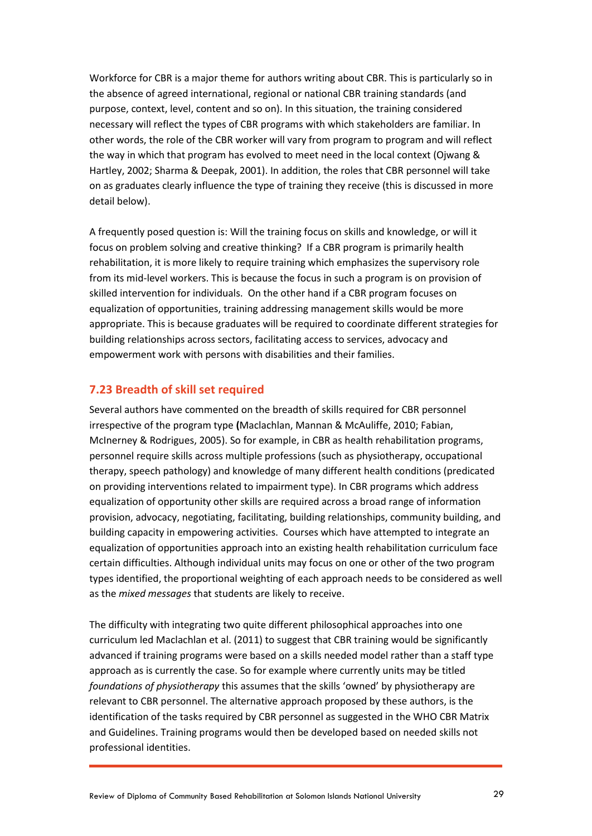Workforce for CBR is a major theme for authors writing about CBR. This is particularly so in the absence of agreed international, regional or national CBR training standards (and purpose, context, level, content and so on). In this situation, the training considered necessary will reflect the types of CBR programs with which stakeholders are familiar. In other words, the role of the CBR worker will vary from program to program and will reflect the way in which that program has evolved to meet need in the local context (Ojwang & Hartley, 2002; Sharma & Deepak, 2001). In addition, the roles that CBR personnel will take on as graduates clearly influence the type of training they receive (this is discussed in more detail below).

A frequently posed question is: Will the training focus on skills and knowledge, or will it focus on problem solving and creative thinking? If a CBR program is primarily health rehabilitation, it is more likely to require training which emphasizes the supervisory role from its mid-level workers. This is because the focus in such a program is on provision of skilled intervention for individuals. On the other hand if a CBR program focuses on equalization of opportunities, training addressing management skills would be more appropriate. This is because graduates will be required to coordinate different strategies for building relationships across sectors, facilitating access to services, advocacy and empowerment work with persons with disabilities and their families.

#### **7.23 Breadth of skill set required**

Several authors have commented on the breadth of skills required for CBR personnel irrespective of the program type **(**Maclachlan, Mannan & McAuliffe, 2010; Fabian, McInerney & Rodrigues, 2005). So for example, in CBR as health rehabilitation programs, personnel require skills across multiple professions (such as physiotherapy, occupational therapy, speech pathology) and knowledge of many different health conditions (predicated on providing interventions related to impairment type). In CBR programs which address equalization of opportunity other skills are required across a broad range of information provision, advocacy, negotiating, facilitating, building relationships, community building, and building capacity in empowering activities. Courses which have attempted to integrate an equalization of opportunities approach into an existing health rehabilitation curriculum face certain difficulties. Although individual units may focus on one or other of the two program types identified, the proportional weighting of each approach needs to be considered as well as the *mixed messages* that students are likely to receive.

The difficulty with integrating two quite different philosophical approaches into one curriculum led Maclachlan et al. (2011) to suggest that CBR training would be significantly advanced if training programs were based on a skills needed model rather than a staff type approach as is currently the case. So for example where currently units may be titled *foundations of physiotherapy* this assumes that the skills 'owned' by physiotherapy are relevant to CBR personnel. The alternative approach proposed by these authors, is the identification of the tasks required by CBR personnel as suggested in the WHO CBR Matrix and Guidelines. Training programs would then be developed based on needed skills not professional identities.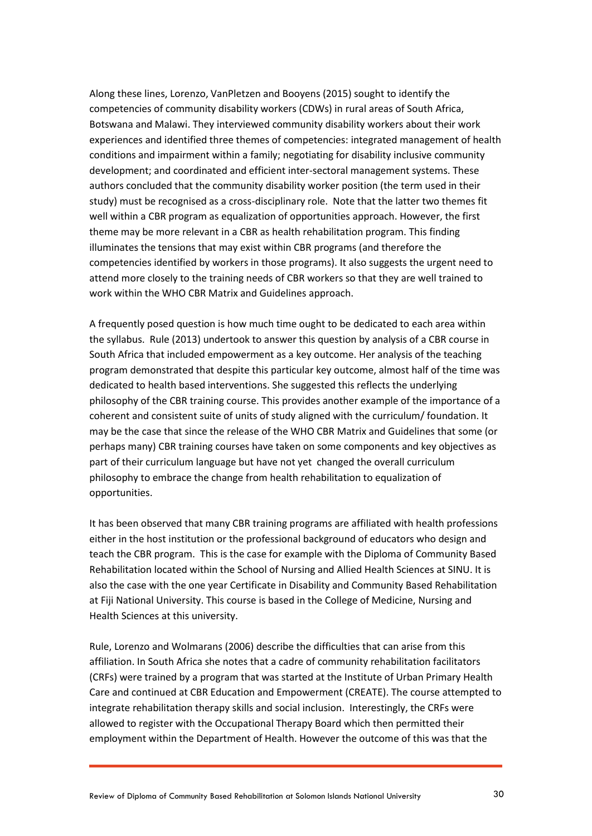Along these lines, Lorenzo, VanPletzen and Booyens (2015) sought to identify the competencies of community disability workers (CDWs) in rural areas of South Africa, Botswana and Malawi. They interviewed community disability workers about their work experiences and identified three themes of competencies: integrated management of health conditions and impairment within a family; negotiating for disability inclusive community development; and coordinated and efficient inter-sectoral management systems. These authors concluded that the community disability worker position (the term used in their study) must be recognised as a cross-disciplinary role. Note that the latter two themes fit well within a CBR program as equalization of opportunities approach. However, the first theme may be more relevant in a CBR as health rehabilitation program. This finding illuminates the tensions that may exist within CBR programs (and therefore the competencies identified by workers in those programs). It also suggests the urgent need to attend more closely to the training needs of CBR workers so that they are well trained to work within the WHO CBR Matrix and Guidelines approach.

A frequently posed question is how much time ought to be dedicated to each area within the syllabus. Rule (2013) undertook to answer this question by analysis of a CBR course in South Africa that included empowerment as a key outcome. Her analysis of the teaching program demonstrated that despite this particular key outcome, almost half of the time was dedicated to health based interventions. She suggested this reflects the underlying philosophy of the CBR training course. This provides another example of the importance of a coherent and consistent suite of units of study aligned with the curriculum/ foundation. It may be the case that since the release of the WHO CBR Matrix and Guidelines that some (or perhaps many) CBR training courses have taken on some components and key objectives as part of their curriculum language but have not yet changed the overall curriculum philosophy to embrace the change from health rehabilitation to equalization of opportunities.

It has been observed that many CBR training programs are affiliated with health professions either in the host institution or the professional background of educators who design and teach the CBR program. This is the case for example with the Diploma of Community Based Rehabilitation located within the School of Nursing and Allied Health Sciences at SINU. It is also the case with the one year Certificate in Disability and Community Based Rehabilitation at Fiji National University. This course is based in the College of Medicine, Nursing and Health Sciences at this university.

Rule, Lorenzo and Wolmarans (2006) describe the difficulties that can arise from this affiliation. In South Africa she notes that a cadre of community rehabilitation facilitators (CRFs) were trained by a program that was started at the Institute of Urban Primary Health Care and continued at CBR Education and Empowerment (CREATE). The course attempted to integrate rehabilitation therapy skills and social inclusion. Interestingly, the CRFs were allowed to register with the Occupational Therapy Board which then permitted their employment within the Department of Health. However the outcome of this was that the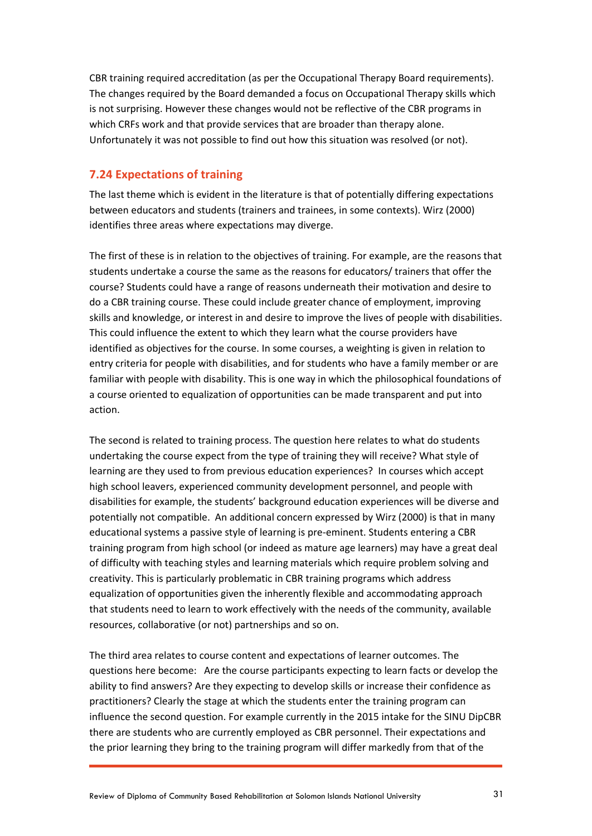CBR training required accreditation (as per the Occupational Therapy Board requirements). The changes required by the Board demanded a focus on Occupational Therapy skills which is not surprising. However these changes would not be reflective of the CBR programs in which CRFs work and that provide services that are broader than therapy alone. Unfortunately it was not possible to find out how this situation was resolved (or not).

#### **7.24 Expectations of training**

The last theme which is evident in the literature is that of potentially differing expectations between educators and students (trainers and trainees, in some contexts). Wirz (2000) identifies three areas where expectations may diverge.

The first of these is in relation to the objectives of training. For example, are the reasons that students undertake a course the same as the reasons for educators/ trainers that offer the course? Students could have a range of reasons underneath their motivation and desire to do a CBR training course. These could include greater chance of employment, improving skills and knowledge, or interest in and desire to improve the lives of people with disabilities. This could influence the extent to which they learn what the course providers have identified as objectives for the course. In some courses, a weighting is given in relation to entry criteria for people with disabilities, and for students who have a family member or are familiar with people with disability. This is one way in which the philosophical foundations of a course oriented to equalization of opportunities can be made transparent and put into action.

The second is related to training process. The question here relates to what do students undertaking the course expect from the type of training they will receive? What style of learning are they used to from previous education experiences? In courses which accept high school leavers, experienced community development personnel, and people with disabilities for example, the students' background education experiences will be diverse and potentially not compatible. An additional concern expressed by Wirz (2000) is that in many educational systems a passive style of learning is pre-eminent. Students entering a CBR training program from high school (or indeed as mature age learners) may have a great deal of difficulty with teaching styles and learning materials which require problem solving and creativity. This is particularly problematic in CBR training programs which address equalization of opportunities given the inherently flexible and accommodating approach that students need to learn to work effectively with the needs of the community, available resources, collaborative (or not) partnerships and so on.

The third area relates to course content and expectations of learner outcomes. The questions here become: Are the course participants expecting to learn facts or develop the ability to find answers? Are they expecting to develop skills or increase their confidence as practitioners? Clearly the stage at which the students enter the training program can influence the second question. For example currently in the 2015 intake for the SINU DipCBR there are students who are currently employed as CBR personnel. Their expectations and the prior learning they bring to the training program will differ markedly from that of the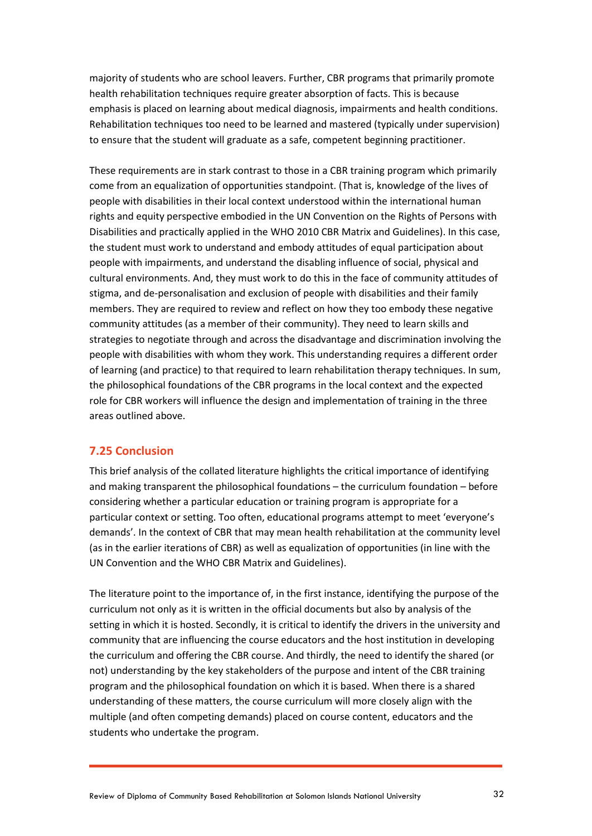majority of students who are school leavers. Further, CBR programs that primarily promote health rehabilitation techniques require greater absorption of facts. This is because emphasis is placed on learning about medical diagnosis, impairments and health conditions. Rehabilitation techniques too need to be learned and mastered (typically under supervision) to ensure that the student will graduate as a safe, competent beginning practitioner.

These requirements are in stark contrast to those in a CBR training program which primarily come from an equalization of opportunities standpoint. (That is, knowledge of the lives of people with disabilities in their local context understood within the international human rights and equity perspective embodied in the UN Convention on the Rights of Persons with Disabilities and practically applied in the WHO 2010 CBR Matrix and Guidelines). In this case, the student must work to understand and embody attitudes of equal participation about people with impairments, and understand the disabling influence of social, physical and cultural environments. And, they must work to do this in the face of community attitudes of stigma, and de-personalisation and exclusion of people with disabilities and their family members. They are required to review and reflect on how they too embody these negative community attitudes (as a member of their community). They need to learn skills and strategies to negotiate through and across the disadvantage and discrimination involving the people with disabilities with whom they work. This understanding requires a different order of learning (and practice) to that required to learn rehabilitation therapy techniques. In sum, the philosophical foundations of the CBR programs in the local context and the expected role for CBR workers will influence the design and implementation of training in the three areas outlined above.

#### **7.25 Conclusion**

This brief analysis of the collated literature highlights the critical importance of identifying and making transparent the philosophical foundations – the curriculum foundation – before considering whether a particular education or training program is appropriate for a particular context or setting. Too often, educational programs attempt to meet 'everyone's demands'. In the context of CBR that may mean health rehabilitation at the community level (as in the earlier iterations of CBR) as well as equalization of opportunities (in line with the UN Convention and the WHO CBR Matrix and Guidelines).

The literature point to the importance of, in the first instance, identifying the purpose of the curriculum not only as it is written in the official documents but also by analysis of the setting in which it is hosted. Secondly, it is critical to identify the drivers in the university and community that are influencing the course educators and the host institution in developing the curriculum and offering the CBR course. And thirdly, the need to identify the shared (or not) understanding by the key stakeholders of the purpose and intent of the CBR training program and the philosophical foundation on which it is based. When there is a shared understanding of these matters, the course curriculum will more closely align with the multiple (and often competing demands) placed on course content, educators and the students who undertake the program.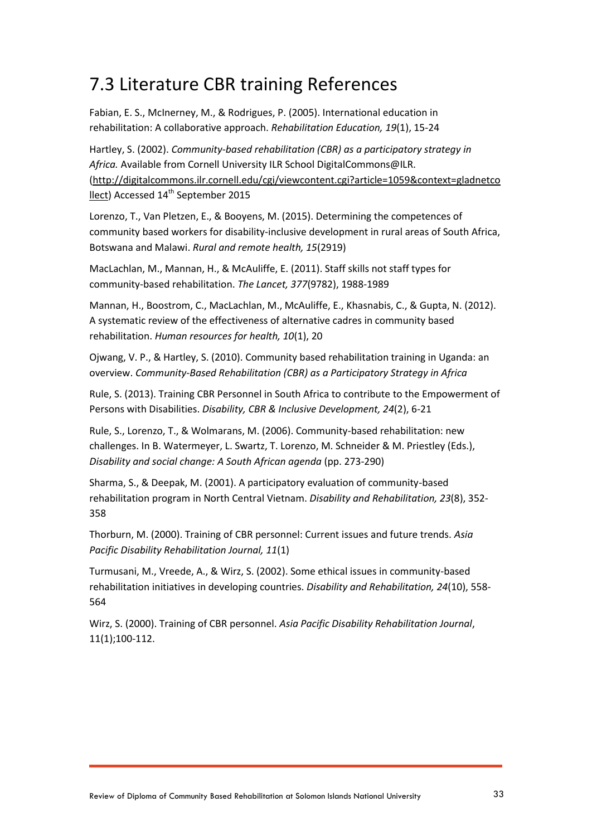## <span id="page-32-0"></span>7.3 Literature CBR training References

Fabian, E. S., McInerney, M., & Rodrigues, P. (2005). International education in rehabilitation: A collaborative approach. *Rehabilitation Education, 19*(1), 15-24

Hartley, S. (2002). *Community-based rehabilitation (CBR) as a participatory strategy in Africa.* Available from Cornell University ILR School DigitalCommons@ILR. [\(http://digitalcommons.ilr.cornell.edu/cgi/viewcontent.cgi?article=1059&context=gladnetco](http://digitalcommons.ilr.cornell.edu/cgi/viewcontent.cgi?article=1059&context=gladnetcollect) [llect\)](http://digitalcommons.ilr.cornell.edu/cgi/viewcontent.cgi?article=1059&context=gladnetcollect) Accessed 14<sup>th</sup> September 2015

Lorenzo, T., Van Pletzen, E., & Booyens, M. (2015). Determining the competences of community based workers for disability-inclusive development in rural areas of South Africa, Botswana and Malawi. *Rural and remote health, 15*(2919)

MacLachlan, M., Mannan, H., & McAuliffe, E. (2011). Staff skills not staff types for community-based rehabilitation. *The Lancet, 377*(9782), 1988-1989

Mannan, H., Boostrom, C., MacLachlan, M., McAuliffe, E., Khasnabis, C., & Gupta, N. (2012). A systematic review of the effectiveness of alternative cadres in community based rehabilitation. *Human resources for health, 10*(1), 20

Ojwang, V. P., & Hartley, S. (2010). Community based rehabilitation training in Uganda: an overview. *Community-Based Rehabilitation (CBR) as a Participatory Strategy in Africa*

Rule, S. (2013). Training CBR Personnel in South Africa to contribute to the Empowerment of Persons with Disabilities. *Disability, CBR & Inclusive Development, 24*(2), 6-21

Rule, S., Lorenzo, T., & Wolmarans, M. (2006). Community-based rehabilitation: new challenges. In B. Watermeyer, L. Swartz, T. Lorenzo, M. Schneider & M. Priestley (Eds.), *Disability and social change: A South African agenda* (pp. 273-290)

Sharma, S., & Deepak, M. (2001). A participatory evaluation of community-based rehabilitation program in North Central Vietnam. *Disability and Rehabilitation, 23*(8), 352- 358

Thorburn, M. (2000). Training of CBR personnel: Current issues and future trends. *Asia Pacific Disability Rehabilitation Journal, 11*(1)

Turmusani, M., Vreede, A., & Wirz, S. (2002). Some ethical issues in community-based rehabilitation initiatives in developing countries. *Disability and Rehabilitation, 24*(10), 558- 564

Wirz, S. (2000). Training of CBR personnel. *Asia Pacific Disability Rehabilitation Journal*, 11(1);100-112.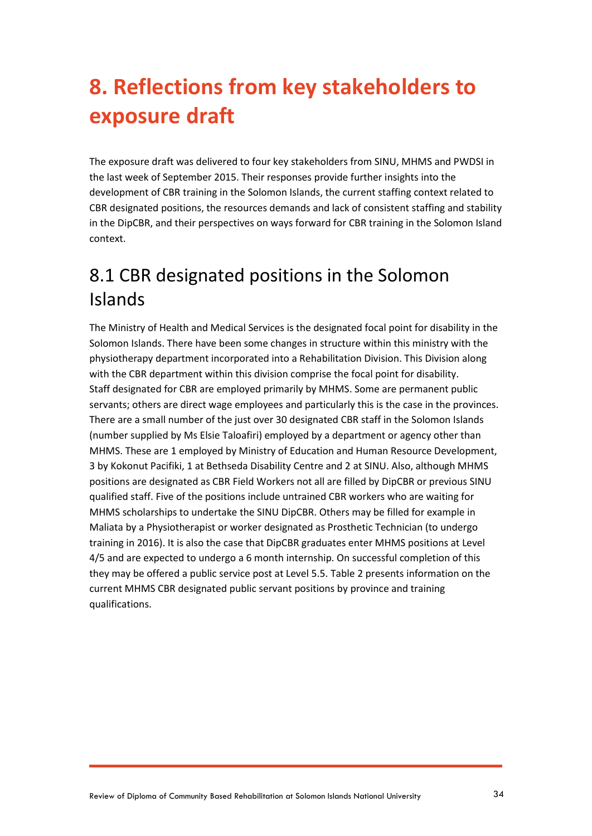## <span id="page-33-0"></span>**8. Reflections from key stakeholders to exposure draft**

The exposure draft was delivered to four key stakeholders from SINU, MHMS and PWDSI in the last week of September 2015. Their responses provide further insights into the development of CBR training in the Solomon Islands, the current staffing context related to CBR designated positions, the resources demands and lack of consistent staffing and stability in the DipCBR, and their perspectives on ways forward for CBR training in the Solomon Island context.

## <span id="page-33-1"></span>8.1 CBR designated positions in the Solomon Islands

The Ministry of Health and Medical Services is the designated focal point for disability in the Solomon Islands. There have been some changes in structure within this ministry with the physiotherapy department incorporated into a Rehabilitation Division. This Division along with the CBR department within this division comprise the focal point for disability. Staff designated for CBR are employed primarily by MHMS. Some are permanent public servants; others are direct wage employees and particularly this is the case in the provinces. There are a small number of the just over 30 designated CBR staff in the Solomon Islands (number supplied by Ms Elsie Taloafiri) employed by a department or agency other than MHMS. These are 1 employed by Ministry of Education and Human Resource Development, 3 by Kokonut Pacifiki, 1 at Bethseda Disability Centre and 2 at SINU. Also, although MHMS positions are designated as CBR Field Workers not all are filled by DipCBR or previous SINU qualified staff. Five of the positions include untrained CBR workers who are waiting for MHMS scholarships to undertake the SINU DipCBR. Others may be filled for example in Maliata by a Physiotherapist or worker designated as Prosthetic Technician (to undergo training in 2016). It is also the case that DipCBR graduates enter MHMS positions at Level 4/5 and are expected to undergo a 6 month internship. On successful completion of this they may be offered a public service post at Level 5.5. Table 2 presents information on the current MHMS CBR designated public servant positions by province and training qualifications.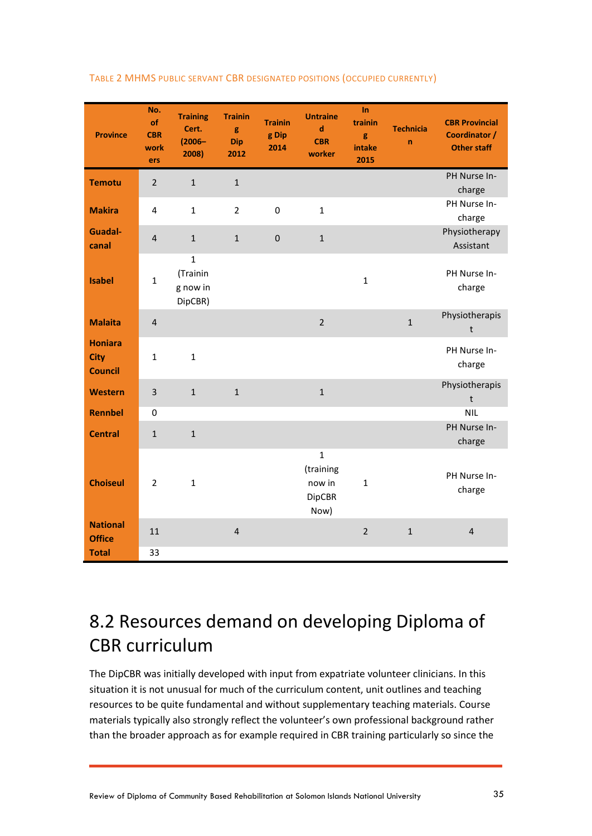| <b>Province</b>                                 | No.<br>of<br><b>CBR</b><br>work<br>ers | <b>Training</b><br>Cert.<br>$(2006 -$<br>2008)  | <b>Trainin</b><br>g<br><b>Dip</b><br>2012 | <b>Trainin</b><br>g Dip<br>2014 | <b>Untraine</b><br>$\mathbf d$<br><b>CBR</b><br>worker       | $\ln$<br>trainin<br>g<br>intake<br>2015 | <b>Technicia</b><br>$\mathbf n$ | <b>CBR Provincial</b><br>Coordinator /<br><b>Other staff</b> |
|-------------------------------------------------|----------------------------------------|-------------------------------------------------|-------------------------------------------|---------------------------------|--------------------------------------------------------------|-----------------------------------------|---------------------------------|--------------------------------------------------------------|
| <b>Temotu</b>                                   | $\overline{2}$                         | $\mathbf{1}$                                    | $\mathbf{1}$                              |                                 |                                                              |                                         |                                 | PH Nurse In-<br>charge                                       |
| <b>Makira</b>                                   | $\overline{4}$                         | $\mathbf{1}$                                    | $\overline{2}$                            | 0                               | $\mathbf{1}$                                                 |                                         |                                 | PH Nurse In-<br>charge                                       |
| <b>Guadal-</b><br>canal                         | $\overline{4}$                         | $\mathbf{1}$                                    | $\mathbf{1}$                              | $\pmb{0}$                       | $\mathbf{1}$                                                 |                                         |                                 | Physiotherapy<br>Assistant                                   |
| <b>Isabel</b>                                   | $\mathbf{1}$                           | $\mathbf{1}$<br>(Trainin<br>g now in<br>DipCBR) |                                           |                                 |                                                              | $\mathbf{1}$                            |                                 | PH Nurse In-<br>charge                                       |
| <b>Malaita</b>                                  | $\overline{\mathbf{4}}$                |                                                 |                                           |                                 | $\overline{2}$                                               |                                         | $\mathbf{1}$                    | Physiotherapis<br>$\mathsf{t}$                               |
| <b>Honiara</b><br><b>City</b><br><b>Council</b> | $\mathbf{1}$                           | $\mathbf{1}$                                    |                                           |                                 |                                                              |                                         |                                 | PH Nurse In-<br>charge                                       |
| <b>Western</b>                                  | 3                                      | $\mathbf{1}$                                    | $\mathbf{1}$                              |                                 | $\mathbf{1}$                                                 |                                         |                                 | Physiotherapis<br>$\sf t$                                    |
| <b>Rennbel</b>                                  | $\mathbf 0$                            |                                                 |                                           |                                 |                                                              |                                         |                                 | <b>NIL</b>                                                   |
| <b>Central</b>                                  | $\mathbf{1}$                           | $\mathbf{1}$                                    |                                           |                                 |                                                              |                                         |                                 | PH Nurse In-<br>charge                                       |
| <b>Choiseul</b>                                 | $\overline{2}$                         | $\mathbf{1}$                                    |                                           |                                 | $\mathbf{1}$<br>(training<br>now in<br><b>DipCBR</b><br>Now) | $\mathbf{1}$                            |                                 | PH Nurse In-<br>charge                                       |
| <b>National</b><br><b>Office</b>                | 11                                     |                                                 | $\overline{\mathbf{4}}$                   |                                 |                                                              | $\overline{2}$                          | $\mathbf 1$                     | $\overline{\mathbf{4}}$                                      |
| <b>Total</b>                                    | 33                                     |                                                 |                                           |                                 |                                                              |                                         |                                 |                                                              |

#### TABLE 2 MHMS PUBLIC SERVANT CBR DESIGNATED POSITIONS (OCCUPIED CURRENTLY)

## <span id="page-34-0"></span>8.2 Resources demand on developing Diploma of CBR curriculum

The DipCBR was initially developed with input from expatriate volunteer clinicians. In this situation it is not unusual for much of the curriculum content, unit outlines and teaching resources to be quite fundamental and without supplementary teaching materials. Course materials typically also strongly reflect the volunteer's own professional background rather than the broader approach as for example required in CBR training particularly so since the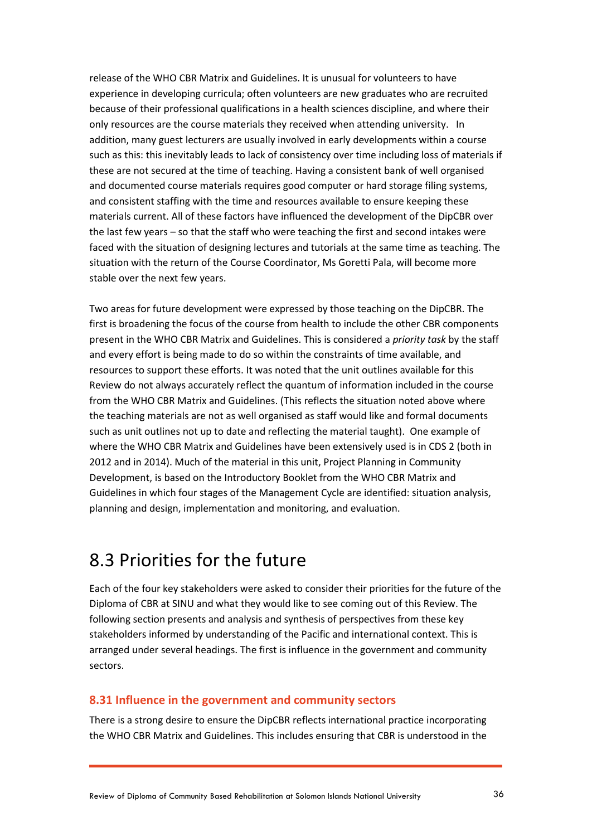release of the WHO CBR Matrix and Guidelines. It is unusual for volunteers to have experience in developing curricula; often volunteers are new graduates who are recruited because of their professional qualifications in a health sciences discipline, and where their only resources are the course materials they received when attending university. In addition, many guest lecturers are usually involved in early developments within a course such as this: this inevitably leads to lack of consistency over time including loss of materials if these are not secured at the time of teaching. Having a consistent bank of well organised and documented course materials requires good computer or hard storage filing systems, and consistent staffing with the time and resources available to ensure keeping these materials current. All of these factors have influenced the development of the DipCBR over the last few years – so that the staff who were teaching the first and second intakes were faced with the situation of designing lectures and tutorials at the same time as teaching. The situation with the return of the Course Coordinator, Ms Goretti Pala, will become more stable over the next few years.

Two areas for future development were expressed by those teaching on the DipCBR. The first is broadening the focus of the course from health to include the other CBR components present in the WHO CBR Matrix and Guidelines. This is considered a *priority task* by the staff and every effort is being made to do so within the constraints of time available, and resources to support these efforts. It was noted that the unit outlines available for this Review do not always accurately reflect the quantum of information included in the course from the WHO CBR Matrix and Guidelines. (This reflects the situation noted above where the teaching materials are not as well organised as staff would like and formal documents such as unit outlines not up to date and reflecting the material taught). One example of where the WHO CBR Matrix and Guidelines have been extensively used is in CDS 2 (both in 2012 and in 2014). Much of the material in this unit, Project Planning in Community Development, is based on the Introductory Booklet from the WHO CBR Matrix and Guidelines in which four stages of the Management Cycle are identified: situation analysis, planning and design, implementation and monitoring, and evaluation.

### <span id="page-35-0"></span>8.3 Priorities for the future

Each of the four key stakeholders were asked to consider their priorities for the future of the Diploma of CBR at SINU and what they would like to see coming out of this Review. The following section presents and analysis and synthesis of perspectives from these key stakeholders informed by understanding of the Pacific and international context. This is arranged under several headings. The first is influence in the government and community sectors.

#### **8.31 Influence in the government and community sectors**

There is a strong desire to ensure the DipCBR reflects international practice incorporating the WHO CBR Matrix and Guidelines. This includes ensuring that CBR is understood in the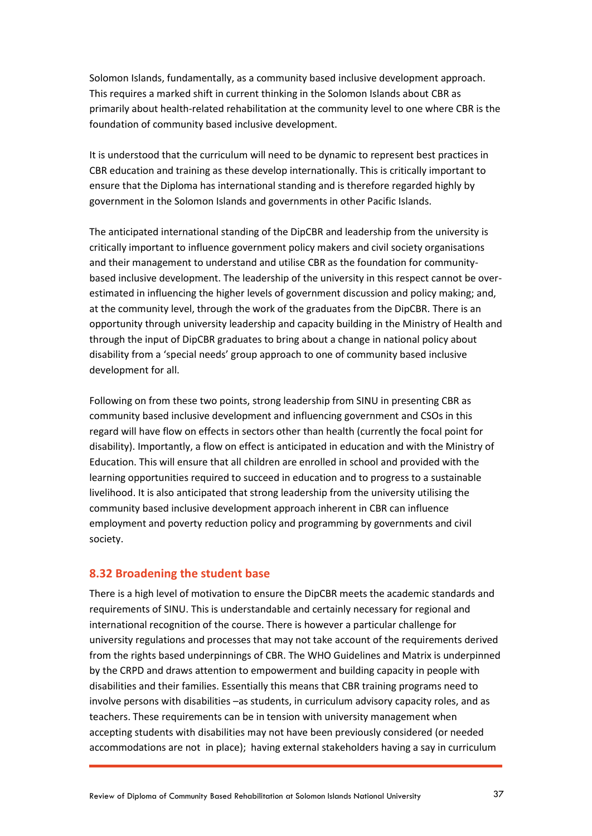Solomon Islands, fundamentally, as a community based inclusive development approach. This requires a marked shift in current thinking in the Solomon Islands about CBR as primarily about health-related rehabilitation at the community level to one where CBR is the foundation of community based inclusive development.

It is understood that the curriculum will need to be dynamic to represent best practices in CBR education and training as these develop internationally. This is critically important to ensure that the Diploma has international standing and is therefore regarded highly by government in the Solomon Islands and governments in other Pacific Islands.

The anticipated international standing of the DipCBR and leadership from the university is critically important to influence government policy makers and civil society organisations and their management to understand and utilise CBR as the foundation for communitybased inclusive development. The leadership of the university in this respect cannot be overestimated in influencing the higher levels of government discussion and policy making; and, at the community level, through the work of the graduates from the DipCBR. There is an opportunity through university leadership and capacity building in the Ministry of Health and through the input of DipCBR graduates to bring about a change in national policy about disability from a 'special needs' group approach to one of community based inclusive development for all.

Following on from these two points, strong leadership from SINU in presenting CBR as community based inclusive development and influencing government and CSOs in this regard will have flow on effects in sectors other than health (currently the focal point for disability). Importantly, a flow on effect is anticipated in education and with the Ministry of Education. This will ensure that all children are enrolled in school and provided with the learning opportunities required to succeed in education and to progress to a sustainable livelihood. It is also anticipated that strong leadership from the university utilising the community based inclusive development approach inherent in CBR can influence employment and poverty reduction policy and programming by governments and civil society.

#### **8.32 Broadening the student base**

There is a high level of motivation to ensure the DipCBR meets the academic standards and requirements of SINU. This is understandable and certainly necessary for regional and international recognition of the course. There is however a particular challenge for university regulations and processes that may not take account of the requirements derived from the rights based underpinnings of CBR. The WHO Guidelines and Matrix is underpinned by the CRPD and draws attention to empowerment and building capacity in people with disabilities and their families. Essentially this means that CBR training programs need to involve persons with disabilities –as students, in curriculum advisory capacity roles, and as teachers. These requirements can be in tension with university management when accepting students with disabilities may not have been previously considered (or needed accommodations are not in place); having external stakeholders having a say in curriculum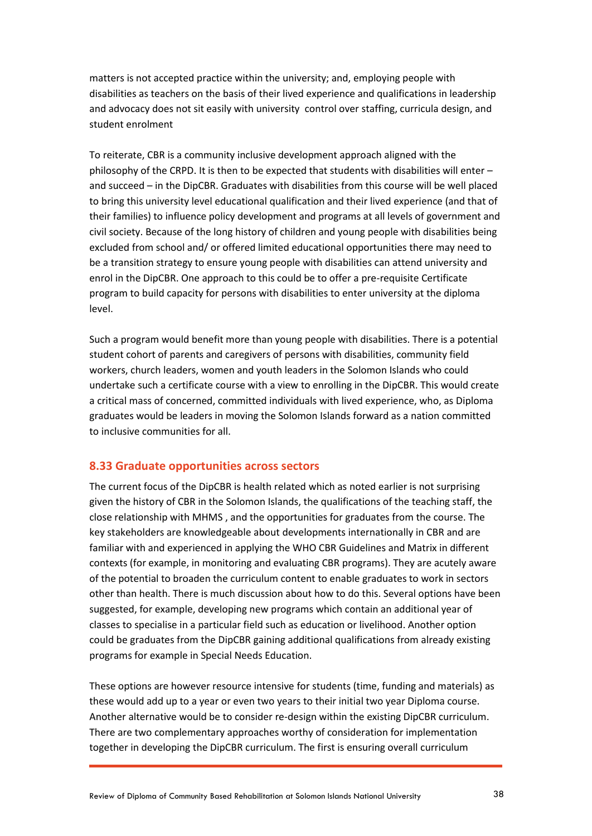matters is not accepted practice within the university; and, employing people with disabilities as teachers on the basis of their lived experience and qualifications in leadership and advocacy does not sit easily with university control over staffing, curricula design, and student enrolment

To reiterate, CBR is a community inclusive development approach aligned with the philosophy of the CRPD. It is then to be expected that students with disabilities will enter – and succeed – in the DipCBR. Graduates with disabilities from this course will be well placed to bring this university level educational qualification and their lived experience (and that of their families) to influence policy development and programs at all levels of government and civil society. Because of the long history of children and young people with disabilities being excluded from school and/ or offered limited educational opportunities there may need to be a transition strategy to ensure young people with disabilities can attend university and enrol in the DipCBR. One approach to this could be to offer a pre-requisite Certificate program to build capacity for persons with disabilities to enter university at the diploma level.

Such a program would benefit more than young people with disabilities. There is a potential student cohort of parents and caregivers of persons with disabilities, community field workers, church leaders, women and youth leaders in the Solomon Islands who could undertake such a certificate course with a view to enrolling in the DipCBR. This would create a critical mass of concerned, committed individuals with lived experience, who, as Diploma graduates would be leaders in moving the Solomon Islands forward as a nation committed to inclusive communities for all.

#### **8.33 Graduate opportunities across sectors**

The current focus of the DipCBR is health related which as noted earlier is not surprising given the history of CBR in the Solomon Islands, the qualifications of the teaching staff, the close relationship with MHMS , and the opportunities for graduates from the course. The key stakeholders are knowledgeable about developments internationally in CBR and are familiar with and experienced in applying the WHO CBR Guidelines and Matrix in different contexts (for example, in monitoring and evaluating CBR programs). They are acutely aware of the potential to broaden the curriculum content to enable graduates to work in sectors other than health. There is much discussion about how to do this. Several options have been suggested, for example, developing new programs which contain an additional year of classes to specialise in a particular field such as education or livelihood. Another option could be graduates from the DipCBR gaining additional qualifications from already existing programs for example in Special Needs Education.

These options are however resource intensive for students (time, funding and materials) as these would add up to a year or even two years to their initial two year Diploma course. Another alternative would be to consider re-design within the existing DipCBR curriculum. There are two complementary approaches worthy of consideration for implementation together in developing the DipCBR curriculum. The first is ensuring overall curriculum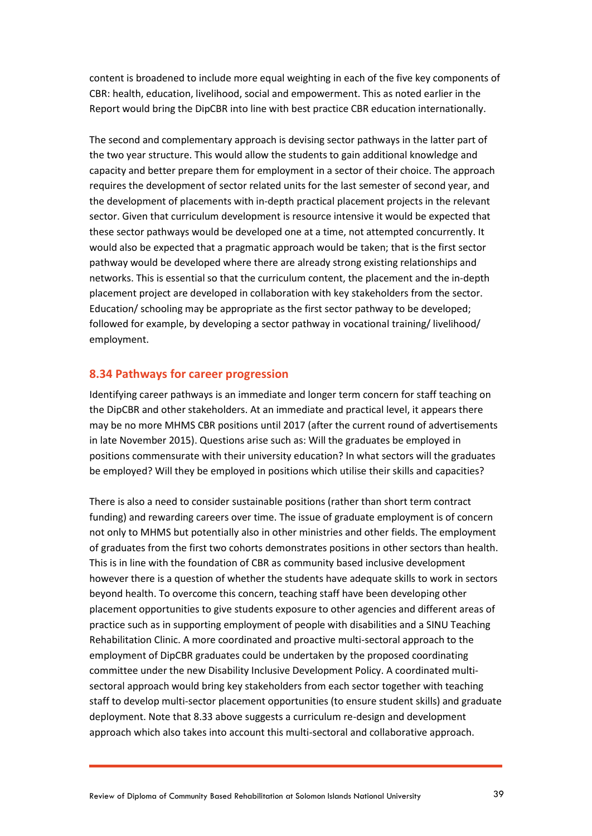content is broadened to include more equal weighting in each of the five key components of CBR: health, education, livelihood, social and empowerment. This as noted earlier in the Report would bring the DipCBR into line with best practice CBR education internationally.

The second and complementary approach is devising sector pathways in the latter part of the two year structure. This would allow the students to gain additional knowledge and capacity and better prepare them for employment in a sector of their choice. The approach requires the development of sector related units for the last semester of second year, and the development of placements with in-depth practical placement projects in the relevant sector. Given that curriculum development is resource intensive it would be expected that these sector pathways would be developed one at a time, not attempted concurrently. It would also be expected that a pragmatic approach would be taken; that is the first sector pathway would be developed where there are already strong existing relationships and networks. This is essential so that the curriculum content, the placement and the in-depth placement project are developed in collaboration with key stakeholders from the sector. Education/ schooling may be appropriate as the first sector pathway to be developed; followed for example, by developing a sector pathway in vocational training/ livelihood/ employment.

#### **8.34 Pathways for career progression**

Identifying career pathways is an immediate and longer term concern for staff teaching on the DipCBR and other stakeholders. At an immediate and practical level, it appears there may be no more MHMS CBR positions until 2017 (after the current round of advertisements in late November 2015). Questions arise such as: Will the graduates be employed in positions commensurate with their university education? In what sectors will the graduates be employed? Will they be employed in positions which utilise their skills and capacities?

There is also a need to consider sustainable positions (rather than short term contract funding) and rewarding careers over time. The issue of graduate employment is of concern not only to MHMS but potentially also in other ministries and other fields. The employment of graduates from the first two cohorts demonstrates positions in other sectors than health. This is in line with the foundation of CBR as community based inclusive development however there is a question of whether the students have adequate skills to work in sectors beyond health. To overcome this concern, teaching staff have been developing other placement opportunities to give students exposure to other agencies and different areas of practice such as in supporting employment of people with disabilities and a SINU Teaching Rehabilitation Clinic. A more coordinated and proactive multi-sectoral approach to the employment of DipCBR graduates could be undertaken by the proposed coordinating committee under the new Disability Inclusive Development Policy. A coordinated multisectoral approach would bring key stakeholders from each sector together with teaching staff to develop multi-sector placement opportunities (to ensure student skills) and graduate deployment. Note that 8.33 above suggests a curriculum re-design and development approach which also takes into account this multi-sectoral and collaborative approach.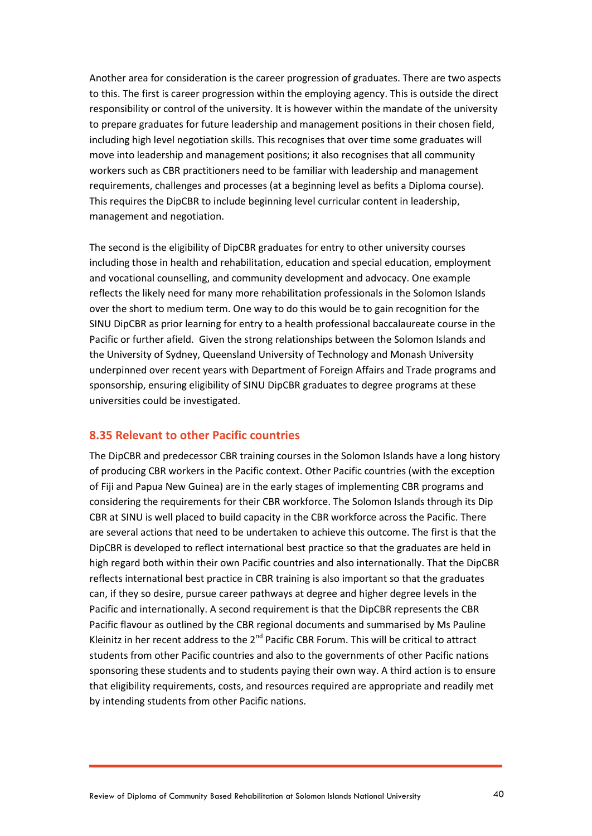Another area for consideration is the career progression of graduates. There are two aspects to this. The first is career progression within the employing agency. This is outside the direct responsibility or control of the university. It is however within the mandate of the university to prepare graduates for future leadership and management positions in their chosen field, including high level negotiation skills. This recognises that over time some graduates will move into leadership and management positions; it also recognises that all community workers such as CBR practitioners need to be familiar with leadership and management requirements, challenges and processes (at a beginning level as befits a Diploma course). This requires the DipCBR to include beginning level curricular content in leadership, management and negotiation.

The second is the eligibility of DipCBR graduates for entry to other university courses including those in health and rehabilitation, education and special education, employment and vocational counselling, and community development and advocacy. One example reflects the likely need for many more rehabilitation professionals in the Solomon Islands over the short to medium term. One way to do this would be to gain recognition for the SINU DipCBR as prior learning for entry to a health professional baccalaureate course in the Pacific or further afield. Given the strong relationships between the Solomon Islands and the University of Sydney, Queensland University of Technology and Monash University underpinned over recent years with Department of Foreign Affairs and Trade programs and sponsorship, ensuring eligibility of SINU DipCBR graduates to degree programs at these universities could be investigated.

#### **8.35 Relevant to other Pacific countries**

The DipCBR and predecessor CBR training courses in the Solomon Islands have a long history of producing CBR workers in the Pacific context. Other Pacific countries (with the exception of Fiji and Papua New Guinea) are in the early stages of implementing CBR programs and considering the requirements for their CBR workforce. The Solomon Islands through its Dip CBR at SINU is well placed to build capacity in the CBR workforce across the Pacific. There are several actions that need to be undertaken to achieve this outcome. The first is that the DipCBR is developed to reflect international best practice so that the graduates are held in high regard both within their own Pacific countries and also internationally. That the DipCBR reflects international best practice in CBR training is also important so that the graduates can, if they so desire, pursue career pathways at degree and higher degree levels in the Pacific and internationally. A second requirement is that the DipCBR represents the CBR Pacific flavour as outlined by the CBR regional documents and summarised by Ms Pauline Kleinitz in her recent address to the  $2^{nd}$  Pacific CBR Forum. This will be critical to attract students from other Pacific countries and also to the governments of other Pacific nations sponsoring these students and to students paying their own way. A third action is to ensure that eligibility requirements, costs, and resources required are appropriate and readily met by intending students from other Pacific nations.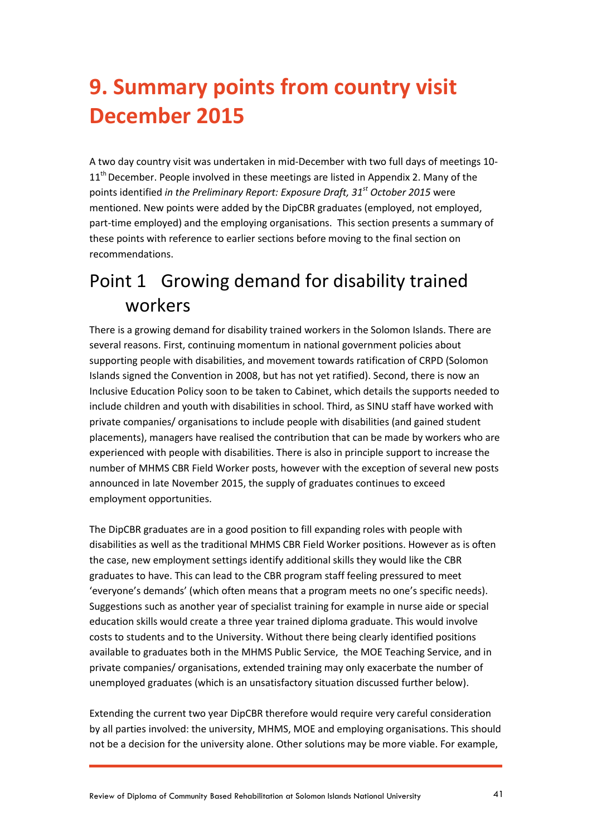## <span id="page-40-0"></span>**9. Summary points from country visit December 2015**

A two day country visit was undertaken in mid-December with two full days of meetings 10- 11<sup>th</sup> December. People involved in these meetings are listed in Appendix 2. Many of the points identified *in the Preliminary Report: Exposure Draft, 31st October 2015* were mentioned. New points were added by the DipCBR graduates (employed, not employed, part-time employed) and the employing organisations. This section presents a summary of these points with reference to earlier sections before moving to the final section on recommendations.

### Point 1 Growing demand for disability trained workers

There is a growing demand for disability trained workers in the Solomon Islands. There are several reasons. First, continuing momentum in national government policies about supporting people with disabilities, and movement towards ratification of CRPD (Solomon Islands signed the Convention in 2008, but has not yet ratified). Second, there is now an Inclusive Education Policy soon to be taken to Cabinet, which details the supports needed to include children and youth with disabilities in school. Third, as SINU staff have worked with private companies/ organisations to include people with disabilities (and gained student placements), managers have realised the contribution that can be made by workers who are experienced with people with disabilities. There is also in principle support to increase the number of MHMS CBR Field Worker posts, however with the exception of several new posts announced in late November 2015, the supply of graduates continues to exceed employment opportunities.

The DipCBR graduates are in a good position to fill expanding roles with people with disabilities as well as the traditional MHMS CBR Field Worker positions. However as is often the case, new employment settings identify additional skills they would like the CBR graduates to have. This can lead to the CBR program staff feeling pressured to meet 'everyone's demands' (which often means that a program meets no one's specific needs). Suggestions such as another year of specialist training for example in nurse aide or special education skills would create a three year trained diploma graduate. This would involve costs to students and to the University. Without there being clearly identified positions available to graduates both in the MHMS Public Service, the MOE Teaching Service, and in private companies/ organisations, extended training may only exacerbate the number of unemployed graduates (which is an unsatisfactory situation discussed further below).

Extending the current two year DipCBR therefore would require very careful consideration by all parties involved: the university, MHMS, MOE and employing organisations. This should not be a decision for the university alone. Other solutions may be more viable. For example,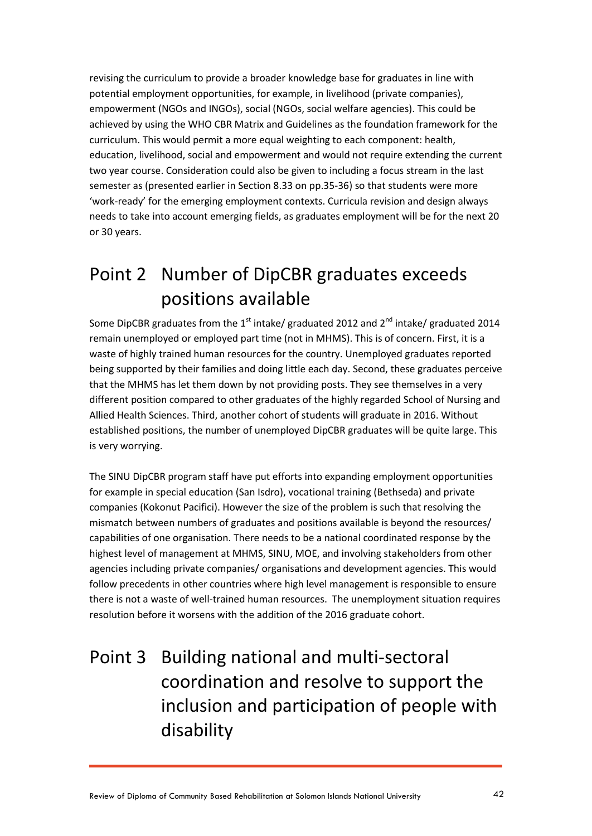revising the curriculum to provide a broader knowledge base for graduates in line with potential employment opportunities, for example, in livelihood (private companies), empowerment (NGOs and INGOs), social (NGOs, social welfare agencies). This could be achieved by using the WHO CBR Matrix and Guidelines as the foundation framework for the curriculum. This would permit a more equal weighting to each component: health, education, livelihood, social and empowerment and would not require extending the current two year course. Consideration could also be given to including a focus stream in the last semester as (presented earlier in Section 8.33 on pp.35-36) so that students were more 'work-ready' for the emerging employment contexts. Curricula revision and design always needs to take into account emerging fields, as graduates employment will be for the next 20 or 30 years.

## Point 2 Number of DipCBR graduates exceeds positions available

Some DipCBR graduates from the 1<sup>st</sup> intake/ graduated 2012 and  $2^{nd}$  intake/ graduated 2014 remain unemployed or employed part time (not in MHMS). This is of concern. First, it is a waste of highly trained human resources for the country. Unemployed graduates reported being supported by their families and doing little each day. Second, these graduates perceive that the MHMS has let them down by not providing posts. They see themselves in a very different position compared to other graduates of the highly regarded School of Nursing and Allied Health Sciences. Third, another cohort of students will graduate in 2016. Without established positions, the number of unemployed DipCBR graduates will be quite large. This is very worrying.

The SINU DipCBR program staff have put efforts into expanding employment opportunities for example in special education (San Isdro), vocational training (Bethseda) and private companies (Kokonut Pacifici). However the size of the problem is such that resolving the mismatch between numbers of graduates and positions available is beyond the resources/ capabilities of one organisation. There needs to be a national coordinated response by the highest level of management at MHMS, SINU, MOE, and involving stakeholders from other agencies including private companies/ organisations and development agencies. This would follow precedents in other countries where high level management is responsible to ensure there is not a waste of well-trained human resources. The unemployment situation requires resolution before it worsens with the addition of the 2016 graduate cohort.

## Point 3 Building national and multi-sectoral coordination and resolve to support the inclusion and participation of people with disability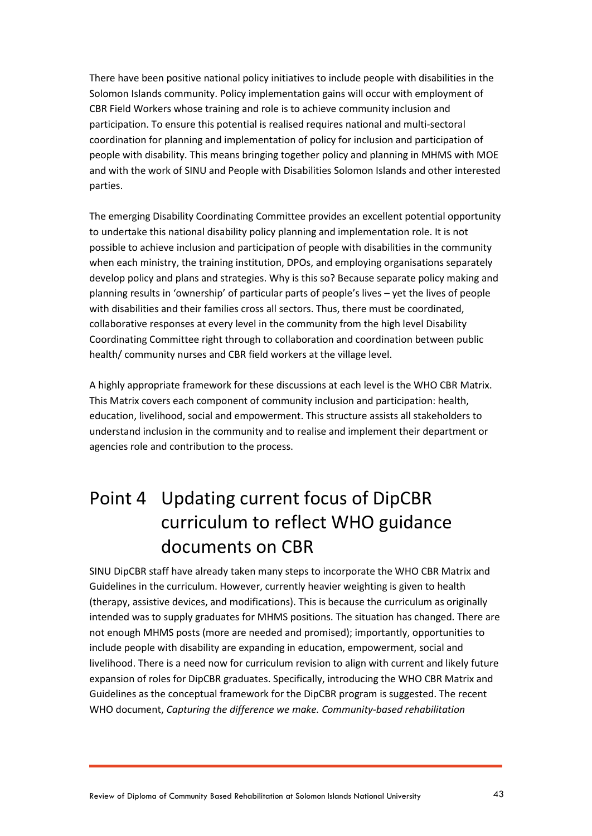There have been positive national policy initiatives to include people with disabilities in the Solomon Islands community. Policy implementation gains will occur with employment of CBR Field Workers whose training and role is to achieve community inclusion and participation. To ensure this potential is realised requires national and multi-sectoral coordination for planning and implementation of policy for inclusion and participation of people with disability. This means bringing together policy and planning in MHMS with MOE and with the work of SINU and People with Disabilities Solomon Islands and other interested parties.

The emerging Disability Coordinating Committee provides an excellent potential opportunity to undertake this national disability policy planning and implementation role. It is not possible to achieve inclusion and participation of people with disabilities in the community when each ministry, the training institution, DPOs, and employing organisations separately develop policy and plans and strategies. Why is this so? Because separate policy making and planning results in 'ownership' of particular parts of people's lives – yet the lives of people with disabilities and their families cross all sectors. Thus, there must be coordinated, collaborative responses at every level in the community from the high level Disability Coordinating Committee right through to collaboration and coordination between public health/ community nurses and CBR field workers at the village level.

A highly appropriate framework for these discussions at each level is the WHO CBR Matrix. This Matrix covers each component of community inclusion and participation: health, education, livelihood, social and empowerment. This structure assists all stakeholders to understand inclusion in the community and to realise and implement their department or agencies role and contribution to the process.

## Point 4 Updating current focus of DipCBR curriculum to reflect WHO guidance documents on CBR

SINU DipCBR staff have already taken many steps to incorporate the WHO CBR Matrix and Guidelines in the curriculum. However, currently heavier weighting is given to health (therapy, assistive devices, and modifications). This is because the curriculum as originally intended was to supply graduates for MHMS positions. The situation has changed. There are not enough MHMS posts (more are needed and promised); importantly, opportunities to include people with disability are expanding in education, empowerment, social and livelihood. There is a need now for curriculum revision to align with current and likely future expansion of roles for DipCBR graduates. Specifically, introducing the WHO CBR Matrix and Guidelines as the conceptual framework for the DipCBR program is suggested. The recent WHO document, *Capturing the difference we make. Community-based rehabilitation*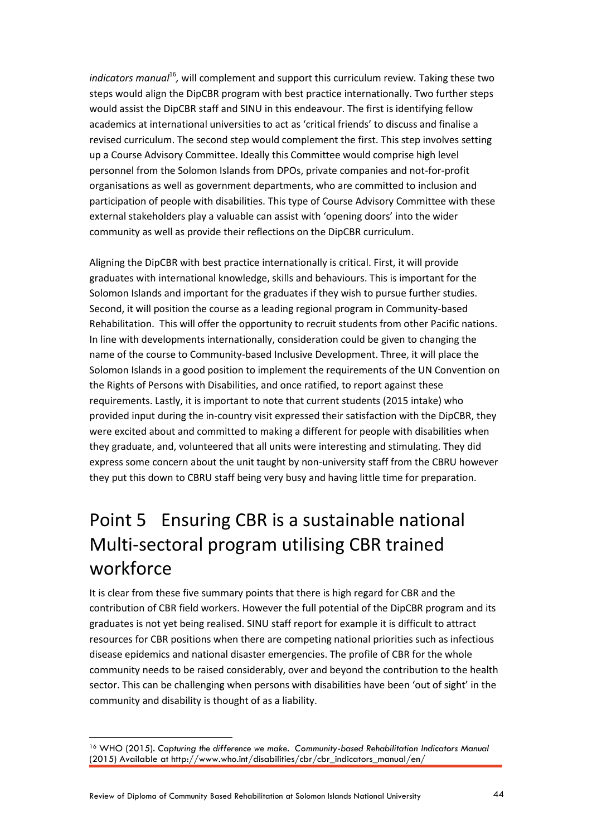*indicators manual*<sup>16</sup>, will complement and support this curriculum review. Taking these two steps would align the DipCBR program with best practice internationally. Two further steps would assist the DipCBR staff and SINU in this endeavour. The first is identifying fellow academics at international universities to act as 'critical friends' to discuss and finalise a revised curriculum. The second step would complement the first. This step involves setting up a Course Advisory Committee. Ideally this Committee would comprise high level personnel from the Solomon Islands from DPOs, private companies and not-for-profit organisations as well as government departments, who are committed to inclusion and participation of people with disabilities. This type of Course Advisory Committee with these external stakeholders play a valuable can assist with 'opening doors' into the wider community as well as provide their reflections on the DipCBR curriculum.

Aligning the DipCBR with best practice internationally is critical. First, it will provide graduates with international knowledge, skills and behaviours. This is important for the Solomon Islands and important for the graduates if they wish to pursue further studies. Second, it will position the course as a leading regional program in Community-based Rehabilitation. This will offer the opportunity to recruit students from other Pacific nations. In line with developments internationally, consideration could be given to changing the name of the course to Community-based Inclusive Development. Three, it will place the Solomon Islands in a good position to implement the requirements of the UN Convention on the Rights of Persons with Disabilities, and once ratified, to report against these requirements. Lastly, it is important to note that current students (2015 intake) who provided input during the in-country visit expressed their satisfaction with the DipCBR, they were excited about and committed to making a different for people with disabilities when they graduate, and, volunteered that all units were interesting and stimulating. They did express some concern about the unit taught by non-university staff from the CBRU however they put this down to CBRU staff being very busy and having little time for preparation.

## Point 5 Ensuring CBR is a sustainable national Multi-sectoral program utilising CBR trained workforce

It is clear from these five summary points that there is high regard for CBR and the contribution of CBR field workers. However the full potential of the DipCBR program and its graduates is not yet being realised. SINU staff report for example it is difficult to attract resources for CBR positions when there are competing national priorities such as infectious disease epidemics and national disaster emergencies. The profile of CBR for the whole community needs to be raised considerably, over and beyond the contribution to the health sector. This can be challenging when persons with disabilities have been 'out of sight' in the community and disability is thought of as a liability.

<sup>16</sup> WHO (2015). *Capturing the difference we make. Community-based Rehabilitation Indicators Manual* (2015) Available at http://www.who.int/disabilities/cbr/cbr\_indicators\_manual/en/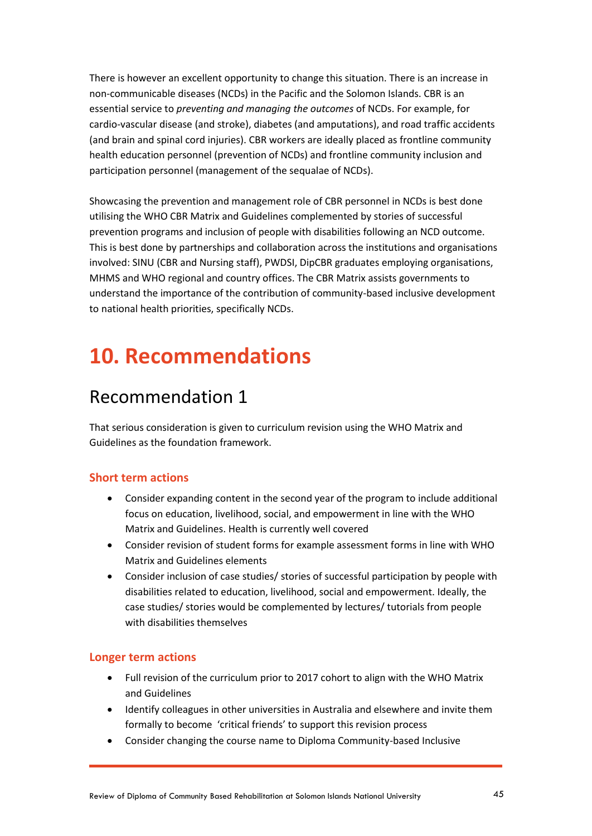There is however an excellent opportunity to change this situation. There is an increase in non-communicable diseases (NCDs) in the Pacific and the Solomon Islands. CBR is an essential service to *preventing and managing the outcomes* of NCDs. For example, for cardio-vascular disease (and stroke), diabetes (and amputations), and road traffic accidents (and brain and spinal cord injuries). CBR workers are ideally placed as frontline community health education personnel (prevention of NCDs) and frontline community inclusion and participation personnel (management of the sequalae of NCDs).

Showcasing the prevention and management role of CBR personnel in NCDs is best done utilising the WHO CBR Matrix and Guidelines complemented by stories of successful prevention programs and inclusion of people with disabilities following an NCD outcome. This is best done by partnerships and collaboration across the institutions and organisations involved: SINU (CBR and Nursing staff), PWDSI, DipCBR graduates employing organisations, MHMS and WHO regional and country offices. The CBR Matrix assists governments to understand the importance of the contribution of community-based inclusive development to national health priorities, specifically NCDs.

## <span id="page-44-0"></span>**10. Recommendations**

### Recommendation 1

That serious consideration is given to curriculum revision using the WHO Matrix and Guidelines as the foundation framework.

#### **Short term actions**

- Consider expanding content in the second year of the program to include additional focus on education, livelihood, social, and empowerment in line with the WHO Matrix and Guidelines. Health is currently well covered
- Consider revision of student forms for example assessment forms in line with WHO Matrix and Guidelines elements
- Consider inclusion of case studies/ stories of successful participation by people with disabilities related to education, livelihood, social and empowerment. Ideally, the case studies/ stories would be complemented by lectures/ tutorials from people with disabilities themselves

#### **Longer term actions**

- Full revision of the curriculum prior to 2017 cohort to align with the WHO Matrix and Guidelines
- Identify colleagues in other universities in Australia and elsewhere and invite them formally to become 'critical friends' to support this revision process
- Consider changing the course name to Diploma Community-based Inclusive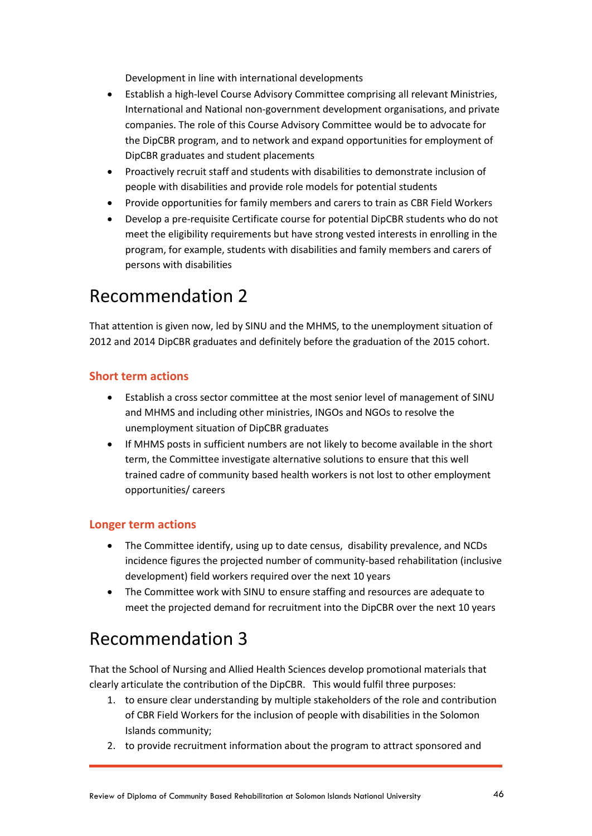Development in line with international developments

- Establish a high-level Course Advisory Committee comprising all relevant Ministries, International and National non-government development organisations, and private companies. The role of this Course Advisory Committee would be to advocate for the DipCBR program, and to network and expand opportunities for employment of DipCBR graduates and student placements
- Proactively recruit staff and students with disabilities to demonstrate inclusion of people with disabilities and provide role models for potential students
- Provide opportunities for family members and carers to train as CBR Field Workers
- Develop a pre-requisite Certificate course for potential DipCBR students who do not meet the eligibility requirements but have strong vested interests in enrolling in the program, for example, students with disabilities and family members and carers of persons with disabilities

### Recommendation 2

That attention is given now, led by SINU and the MHMS, to the unemployment situation of 2012 and 2014 DipCBR graduates and definitely before the graduation of the 2015 cohort.

#### **Short term actions**

- Establish a cross sector committee at the most senior level of management of SINU and MHMS and including other ministries, INGOs and NGOs to resolve the unemployment situation of DipCBR graduates
- If MHMS posts in sufficient numbers are not likely to become available in the short term, the Committee investigate alternative solutions to ensure that this well trained cadre of community based health workers is not lost to other employment opportunities/ careers

#### **Longer term actions**

- The Committee identify, using up to date census, disability prevalence, and NCDs incidence figures the projected number of community-based rehabilitation (inclusive development) field workers required over the next 10 years
- The Committee work with SINU to ensure staffing and resources are adequate to meet the projected demand for recruitment into the DipCBR over the next 10 years

### Recommendation 3

That the School of Nursing and Allied Health Sciences develop promotional materials that clearly articulate the contribution of the DipCBR. This would fulfil three purposes:

- 1. to ensure clear understanding by multiple stakeholders of the role and contribution of CBR Field Workers for the inclusion of people with disabilities in the Solomon Islands community;
- 2. to provide recruitment information about the program to attract sponsored and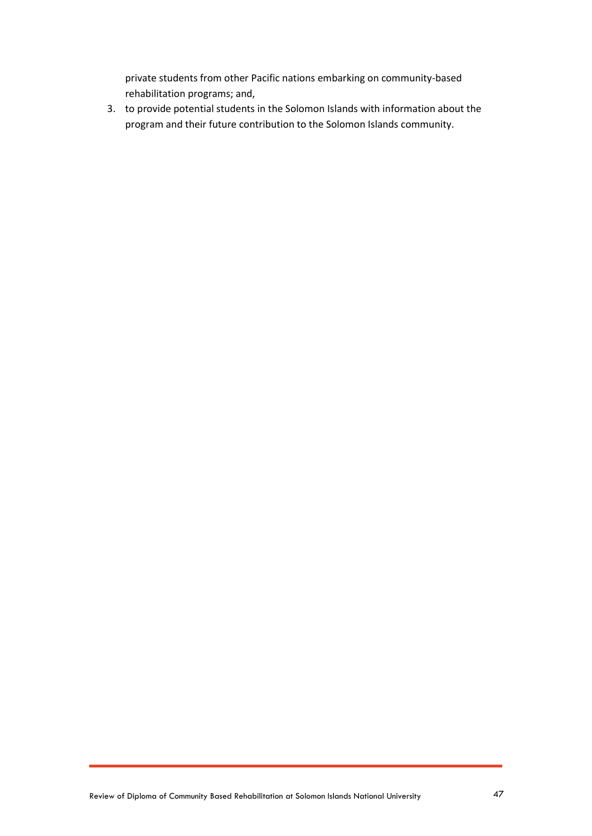private students from other Pacific nations embarking on community-based rehabilitation programs; and,

3. to provide potential students in the Solomon Islands with information about the program and their future contribution to the Solomon Islands community.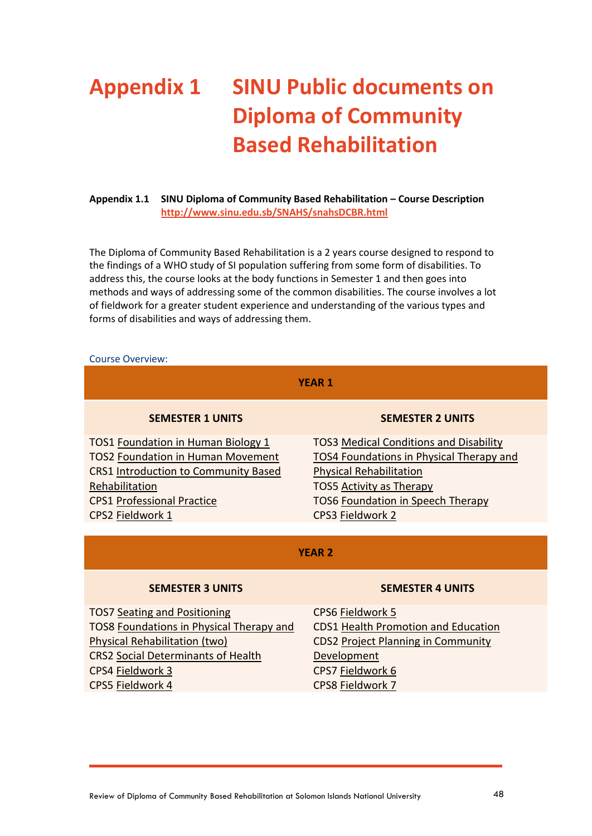## <span id="page-47-0"></span>**Appendix 1 SINU Public documents on Diploma of Community Based Rehabilitation**

#### **Appendix 1.1 SINU Diploma of Community Based Rehabilitation – Course Description <http://www.sinu.edu.sb/SNAHS/snahsDCBR.html>**

The Diploma of Community Based Rehabilitation is a 2 years course designed to respond to the findings of a WHO study of SI population suffering from some form of disabilities. To address this, the course looks at the body functions in Semester 1 and then goes into methods and ways of addressing some of the common disabilities. The course involves a lot of fieldwork for a greater student experience and understanding of the various types and forms of disabilities and ways of addressing them.

#### Course Overview:

| <b>YEAR 1</b>                                                                                                                                                                                                |                                                                                                                                                                                                                         |  |  |  |
|--------------------------------------------------------------------------------------------------------------------------------------------------------------------------------------------------------------|-------------------------------------------------------------------------------------------------------------------------------------------------------------------------------------------------------------------------|--|--|--|
| <b>SEMESTER 1 UNITS</b>                                                                                                                                                                                      | <b>SEMESTER 2 UNITS</b>                                                                                                                                                                                                 |  |  |  |
| TOS1 Foundation in Human Biology 1<br><b>TOS2 Foundation in Human Movement</b><br><b>CRS1 Introduction to Community Based</b><br>Rehabilitation<br><b>CPS1 Professional Practice</b><br>CPS2 Fieldwork 1     | <b>TOS3 Medical Conditions and Disability</b><br>TOS4 Foundations in Physical Therapy and<br><b>Physical Rehabilitation</b><br><b>TOS5 Activity as Therapy</b><br>TOS6 Foundation in Speech Therapy<br>CPS3 Fieldwork 2 |  |  |  |
| <b>YFAR2</b>                                                                                                                                                                                                 |                                                                                                                                                                                                                         |  |  |  |
| <b>SEMESTER 3 UNITS</b>                                                                                                                                                                                      | <b>SEMESTER 4 UNITS</b>                                                                                                                                                                                                 |  |  |  |
| <b>TOS7 Seating and Positioning</b><br>TOS8 Foundations in Physical Therapy and<br><b>Physical Rehabilitation (two)</b><br><b>CRS2 Social Determinants of Health</b><br>CPS4 Fieldwork 3<br>CPS5 Fieldwork 4 | CPS6 Fieldwork 5<br>CDS1 Health Promotion and Education<br>CDS2 Project Planning in Community<br>Development<br>CPS7 Fieldwork 6<br>CPS8 Fieldwork 7                                                                    |  |  |  |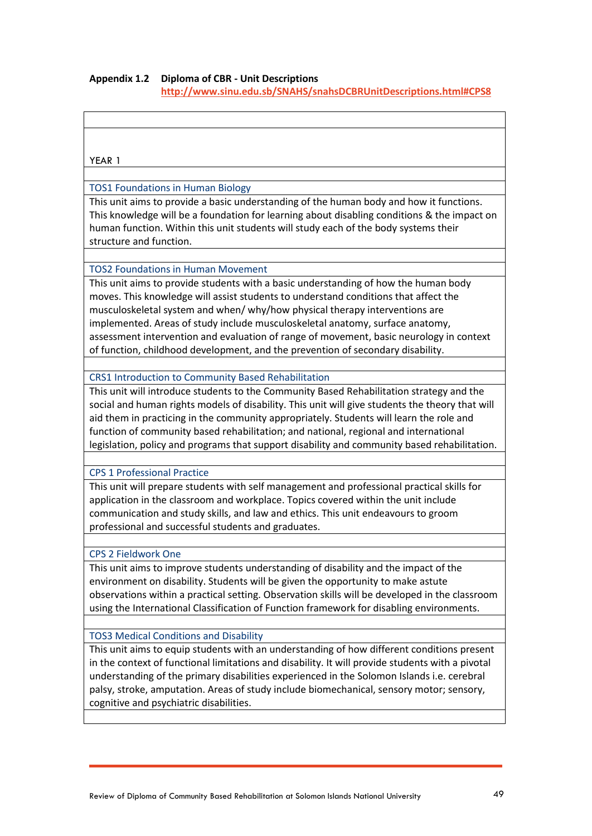#### **Appendix 1.2 Diploma of CBR - Unit Descriptions**

**<http://www.sinu.edu.sb/SNAHS/snahsDCBRUnitDescriptions.html#CPS8>**

YEAR 1

#### TOS1 Foundations in Human Biology

This unit aims to provide a basic understanding of the human body and how it functions. This knowledge will be a foundation for learning about disabling conditions & the impact on human function. Within this unit students will study each of the body systems their structure and function.

#### TOS2 Foundations in Human Movement

This unit aims to provide students with a basic understanding of how the human body moves. This knowledge will assist students to understand conditions that affect the musculoskeletal system and when/ why/how physical therapy interventions are implemented. Areas of study include musculoskeletal anatomy, surface anatomy, assessment intervention and evaluation of range of movement, basic neurology in context of function, childhood development, and the prevention of secondary disability.

#### CRS1 Introduction to Community Based Rehabilitation

This unit will introduce students to the Community Based Rehabilitation strategy and the social and human rights models of disability. This unit will give students the theory that will aid them in practicing in the community appropriately. Students will learn the role and function of community based rehabilitation; and national, regional and international legislation, policy and programs that support disability and community based rehabilitation.

#### CPS 1 Professional Practice

This unit will prepare students with self management and professional practical skills for application in the classroom and workplace. Topics covered within the unit include communication and study skills, and law and ethics. This unit endeavours to groom professional and successful students and graduates.

#### CPS 2 Fieldwork One

This unit aims to improve students understanding of disability and the impact of the environment on disability. Students will be given the opportunity to make astute observations within a practical setting. Observation skills will be developed in the classroom using the International Classification of Function framework for disabling environments.

#### TOS3 Medical Conditions and Disability

This unit aims to equip students with an understanding of how different conditions present in the context of functional limitations and disability. It will provide students with a pivotal understanding of the primary disabilities experienced in the Solomon Islands i.e. cerebral palsy, stroke, amputation. Areas of study include biomechanical, sensory motor; sensory, cognitive and psychiatric disabilities.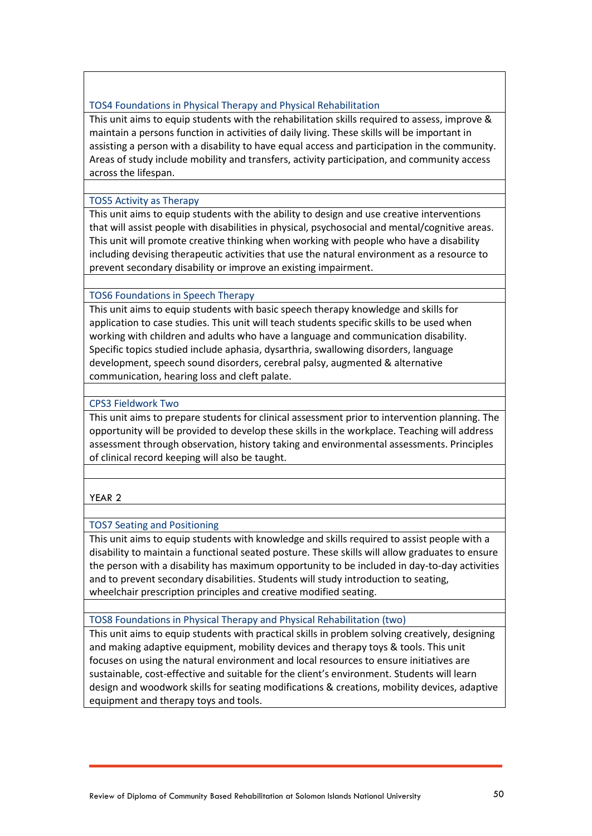#### TOS4 Foundations in Physical Therapy and Physical Rehabilitation

This unit aims to equip students with the rehabilitation skills required to assess, improve & maintain a persons function in activities of daily living. These skills will be important in assisting a person with a disability to have equal access and participation in the community. Areas of study include mobility and transfers, activity participation, and community access across the lifespan.

#### TOS5 Activity as Therapy

This unit aims to equip students with the ability to design and use creative interventions that will assist people with disabilities in physical, psychosocial and mental/cognitive areas. This unit will promote creative thinking when working with people who have a disability including devising therapeutic activities that use the natural environment as a resource to prevent secondary disability or improve an existing impairment.

#### TOS6 Foundations in Speech Therapy

This unit aims to equip students with basic speech therapy knowledge and skills for application to case studies. This unit will teach students specific skills to be used when working with children and adults who have a language and communication disability. Specific topics studied include aphasia, dysarthria, swallowing disorders, language development, speech sound disorders, cerebral palsy, augmented & alternative communication, hearing loss and cleft palate.

#### CPS3 Fieldwork Two

This unit aims to prepare students for clinical assessment prior to intervention planning. The opportunity will be provided to develop these skills in the workplace. Teaching will address assessment through observation, history taking and environmental assessments. Principles of clinical record keeping will also be taught.

#### YEAR 2

#### TOS7 Seating and Positioning

This unit aims to equip students with knowledge and skills required to assist people with a disability to maintain a functional seated posture. These skills will allow graduates to ensure the person with a disability has maximum opportunity to be included in day-to-day activities and to prevent secondary disabilities. Students will study introduction to seating, wheelchair prescription principles and creative modified seating.

#### TOS8 Foundations in Physical Therapy and Physical Rehabilitation (two)

This unit aims to equip students with practical skills in problem solving creatively, designing and making adaptive equipment, mobility devices and therapy toys & tools. This unit focuses on using the natural environment and local resources to ensure initiatives are sustainable, cost-effective and suitable for the client's environment. Students will learn design and woodwork skills for seating modifications & creations, mobility devices, adaptive equipment and therapy toys and tools.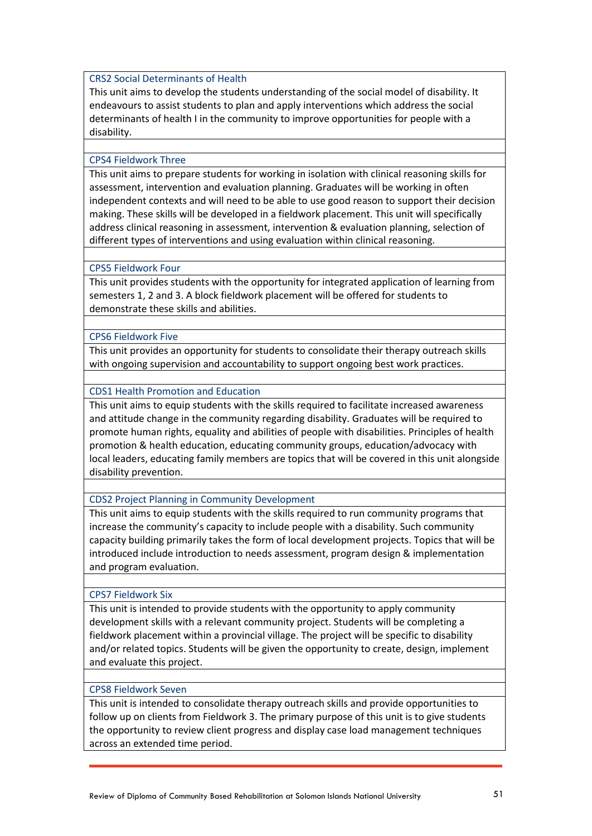#### CRS2 Social Determinants of Health

This unit aims to develop the students understanding of the social model of disability. It endeavours to assist students to plan and apply interventions which address the social determinants of health I in the community to improve opportunities for people with a disability.

#### CPS4 Fieldwork Three

This unit aims to prepare students for working in isolation with clinical reasoning skills for assessment, intervention and evaluation planning. Graduates will be working in often independent contexts and will need to be able to use good reason to support their decision making. These skills will be developed in a fieldwork placement. This unit will specifically address clinical reasoning in assessment, intervention & evaluation planning, selection of different types of interventions and using evaluation within clinical reasoning.

#### CPS5 Fieldwork Four

This unit provides students with the opportunity for integrated application of learning from semesters 1, 2 and 3. A block fieldwork placement will be offered for students to demonstrate these skills and abilities.

#### CPS6 Fieldwork Five

This unit provides an opportunity for students to consolidate their therapy outreach skills with ongoing supervision and accountability to support ongoing best work practices.

#### CDS1 Health Promotion and Education

This unit aims to equip students with the skills required to facilitate increased awareness and attitude change in the community regarding disability. Graduates will be required to promote human rights, equality and abilities of people with disabilities. Principles of health promotion & health education, educating community groups, education/advocacy with local leaders, educating family members are topics that will be covered in this unit alongside disability prevention.

#### CDS2 Project Planning in Community Development

This unit aims to equip students with the skills required to run community programs that increase the community's capacity to include people with a disability. Such community capacity building primarily takes the form of local development projects. Topics that will be introduced include introduction to needs assessment, program design & implementation and program evaluation.

#### CPS7 Fieldwork Six

This unit is intended to provide students with the opportunity to apply community development skills with a relevant community project. Students will be completing a fieldwork placement within a provincial village. The project will be specific to disability and/or related topics. Students will be given the opportunity to create, design, implement and evaluate this project.

#### CPS8 Fieldwork Seven

This unit is intended to consolidate therapy outreach skills and provide opportunities to follow up on clients from Fieldwork 3. The primary purpose of this unit is to give students the opportunity to review client progress and display case load management techniques across an extended time period.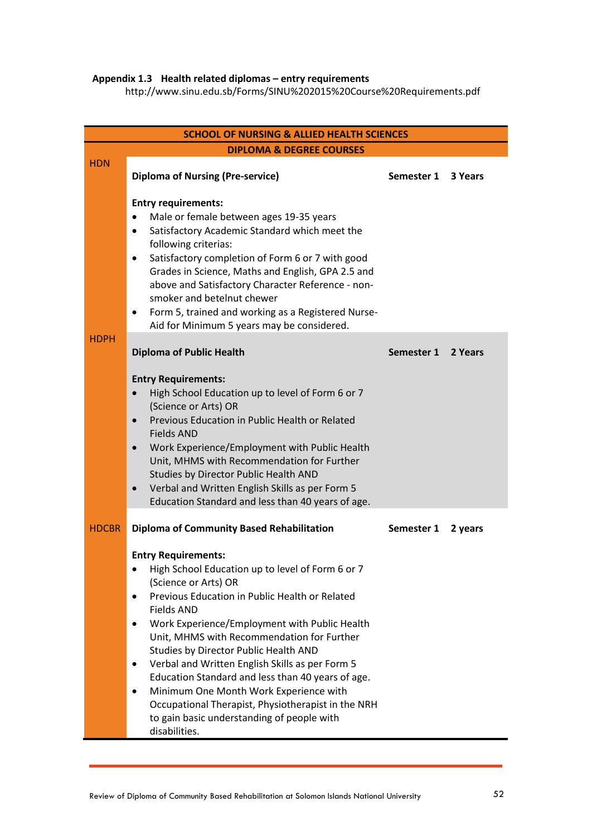#### **Appendix 1.3 Health related diplomas – entry requirements**

http://www.sinu.edu.sb/Forms/SINU%202015%20Course%20Requirements.pdf

| <b>SCHOOL OF NURSING &amp; ALLIED HEALTH SCIENCES</b> |                                                                                                                                                                                                                                                                                                                                                                                                                                                                                                                                                                                                   |                    |         |  |  |
|-------------------------------------------------------|---------------------------------------------------------------------------------------------------------------------------------------------------------------------------------------------------------------------------------------------------------------------------------------------------------------------------------------------------------------------------------------------------------------------------------------------------------------------------------------------------------------------------------------------------------------------------------------------------|--------------------|---------|--|--|
| <b>DIPLOMA &amp; DEGREE COURSES</b>                   |                                                                                                                                                                                                                                                                                                                                                                                                                                                                                                                                                                                                   |                    |         |  |  |
| <b>HDN</b>                                            | <b>Diploma of Nursing (Pre-service)</b>                                                                                                                                                                                                                                                                                                                                                                                                                                                                                                                                                           | Semester 1 3 Years |         |  |  |
|                                                       | <b>Entry requirements:</b><br>Male or female between ages 19-35 years<br>٠<br>Satisfactory Academic Standard which meet the<br>$\bullet$<br>following criterias:<br>Satisfactory completion of Form 6 or 7 with good<br>٠<br>Grades in Science, Maths and English, GPA 2.5 and<br>above and Satisfactory Character Reference - non-<br>smoker and betelnut chewer<br>Form 5, trained and working as a Registered Nurse-<br>٠<br>Aid for Minimum 5 years may be considered.                                                                                                                        |                    |         |  |  |
| <b>HDPH</b>                                           | <b>Diploma of Public Health</b>                                                                                                                                                                                                                                                                                                                                                                                                                                                                                                                                                                   | Semester 1         | 2 Years |  |  |
|                                                       | <b>Entry Requirements:</b><br>High School Education up to level of Form 6 or 7<br>(Science or Arts) OR<br>Previous Education in Public Health or Related<br><b>Fields AND</b><br>Work Experience/Employment with Public Health<br>$\bullet$<br>Unit, MHMS with Recommendation for Further<br>Studies by Director Public Health AND<br>Verbal and Written English Skills as per Form 5<br>$\bullet$<br>Education Standard and less than 40 years of age.                                                                                                                                           |                    |         |  |  |
| <b>HDCBR</b>                                          | <b>Diploma of Community Based Rehabilitation</b>                                                                                                                                                                                                                                                                                                                                                                                                                                                                                                                                                  | Semester 1         | 2 years |  |  |
|                                                       | <b>Entry Requirements:</b><br>High School Education up to level of Form 6 or 7<br>(Science or Arts) OR<br>Previous Education in Public Health or Related<br><b>Fields AND</b><br>Work Experience/Employment with Public Health<br>Unit, MHMS with Recommendation for Further<br>Studies by Director Public Health AND<br>Verbal and Written English Skills as per Form 5<br>٠<br>Education Standard and less than 40 years of age.<br>Minimum One Month Work Experience with<br>Occupational Therapist, Physiotherapist in the NRH<br>to gain basic understanding of people with<br>disabilities. |                    |         |  |  |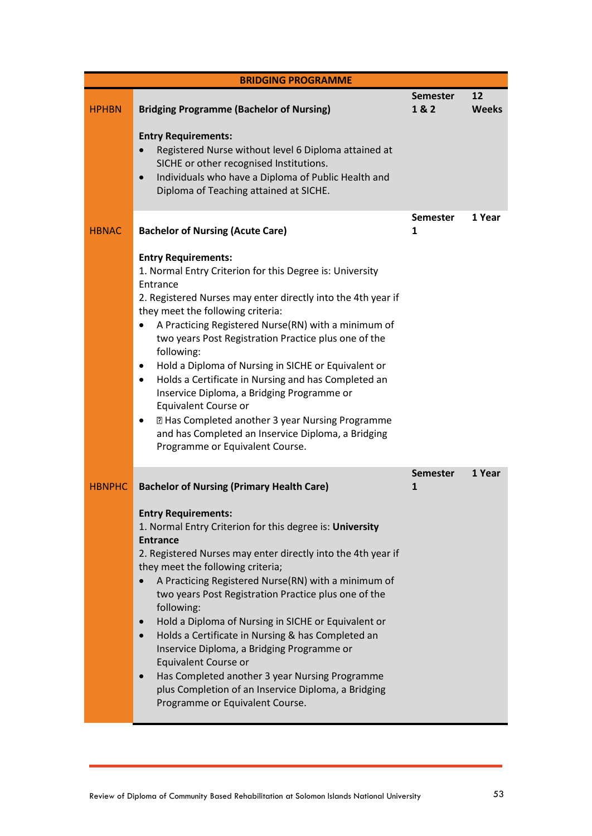|               | <b>BRIDGING PROGRAMME</b>                                                                                                                                                                                                                                                                                                                                                                                                                                                                                                                                                                                                                                                                                                                                                         |                        |                    |
|---------------|-----------------------------------------------------------------------------------------------------------------------------------------------------------------------------------------------------------------------------------------------------------------------------------------------------------------------------------------------------------------------------------------------------------------------------------------------------------------------------------------------------------------------------------------------------------------------------------------------------------------------------------------------------------------------------------------------------------------------------------------------------------------------------------|------------------------|--------------------|
| <b>HPHBN</b>  | <b>Bridging Programme (Bachelor of Nursing)</b><br><b>Entry Requirements:</b><br>Registered Nurse without level 6 Diploma attained at<br>SICHE or other recognised Institutions.<br>Individuals who have a Diploma of Public Health and<br>$\bullet$<br>Diploma of Teaching attained at SICHE.                                                                                                                                                                                                                                                                                                                                                                                                                                                                                    | <b>Semester</b><br>1&2 | 12<br><b>Weeks</b> |
| <b>HBNAC</b>  | <b>Bachelor of Nursing (Acute Care)</b><br><b>Entry Requirements:</b><br>1. Normal Entry Criterion for this Degree is: University<br>Entrance<br>2. Registered Nurses may enter directly into the 4th year if<br>they meet the following criteria:<br>A Practicing Registered Nurse(RN) with a minimum of<br>$\bullet$<br>two years Post Registration Practice plus one of the<br>following:<br>Hold a Diploma of Nursing in SICHE or Equivalent or<br>$\bullet$<br>Holds a Certificate in Nursing and has Completed an<br>$\bullet$<br>Inservice Diploma, a Bridging Programme or<br>Equivalent Course or<br>2 Has Completed another 3 year Nursing Programme<br>$\bullet$<br>and has Completed an Inservice Diploma, a Bridging<br>Programme or Equivalent Course.              | <b>Semester</b><br>1   | 1 Year             |
| <b>HBNPHC</b> | <b>Bachelor of Nursing (Primary Health Care)</b><br><b>Entry Requirements:</b><br>1. Normal Entry Criterion for this degree is: University<br><b>Entrance</b><br>2. Registered Nurses may enter directly into the 4th year if<br>they meet the following criteria;<br>A Practicing Registered Nurse(RN) with a minimum of<br>$\bullet$<br>two years Post Registration Practice plus one of the<br>following:<br>Hold a Diploma of Nursing in SICHE or Equivalent or<br>$\bullet$<br>Holds a Certificate in Nursing & has Completed an<br>$\bullet$<br>Inservice Diploma, a Bridging Programme or<br>Equivalent Course or<br>Has Completed another 3 year Nursing Programme<br>$\bullet$<br>plus Completion of an Inservice Diploma, a Bridging<br>Programme or Equivalent Course. | <b>Semester</b><br>1   | 1 Year             |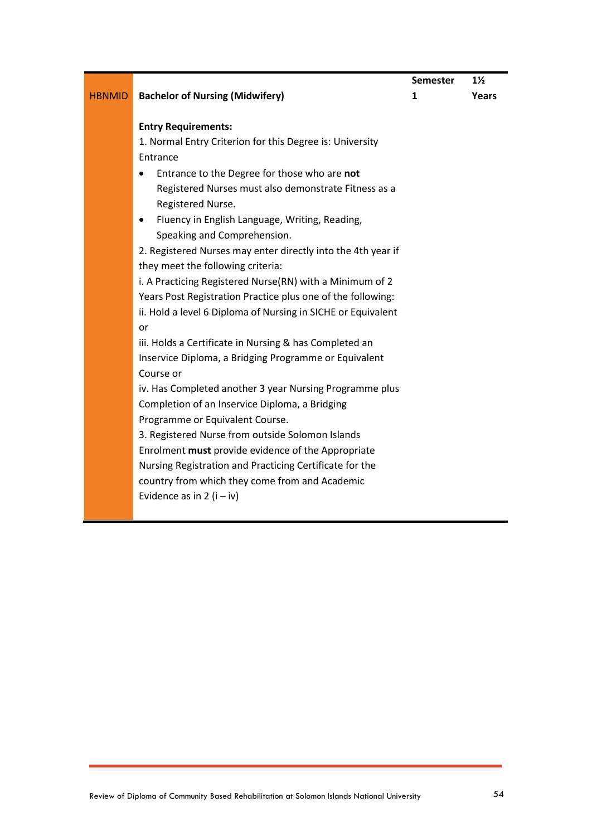| Semester | $1\frac{1}{2}$ |
|----------|----------------|
| 1        | Years          |

#### HBNMID **Bachelor of Nursing (Midwifery) Entry Requirements:**  1. Normal Entry Criterion for this Degree is: University Entrance Entrance to the Degree for those who are **not**  Registered Nurses must also demonstrate Fitness as a Registered Nurse. Fluency in English Language, Writing, Reading, Speaking and Comprehension. 2. Registered Nurses may enter directly into the 4th year if they meet the following criteria: i. A Practicing Registered Nurse(RN) with a Minimum of 2 **1**

Years Post Registration Practice plus one of the following: ii. Hold a level 6 Diploma of Nursing in SICHE or Equivalent or

iii. Holds a Certificate in Nursing & has Completed an Inservice Diploma, a Bridging Programme or Equivalent Course or

iv. Has Completed another 3 year Nursing Programme plus Completion of an Inservice Diploma, a Bridging Programme or Equivalent Course.

3. Registered Nurse from outside Solomon Islands Enrolment **must** provide evidence of the Appropriate Nursing Registration and Practicing Certificate for the country from which they come from and Academic Evidence as in 2  $(i - iv)$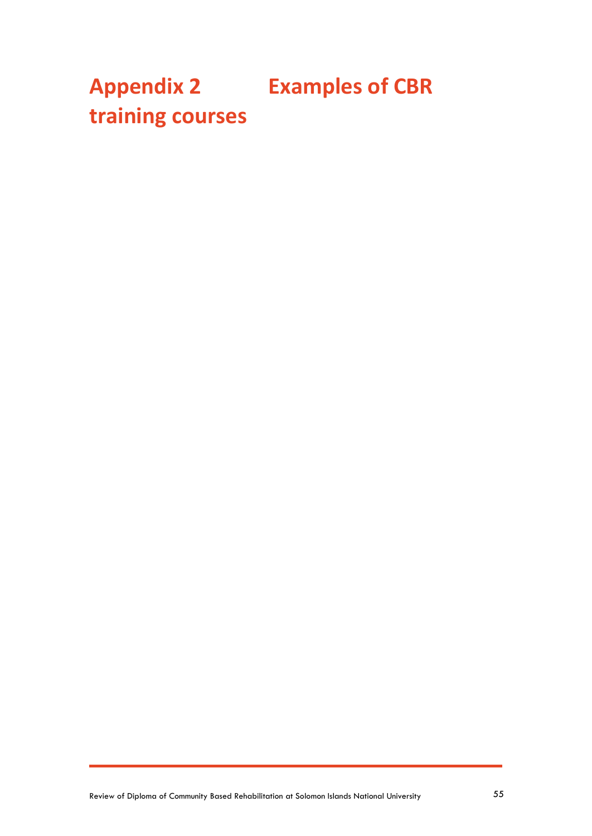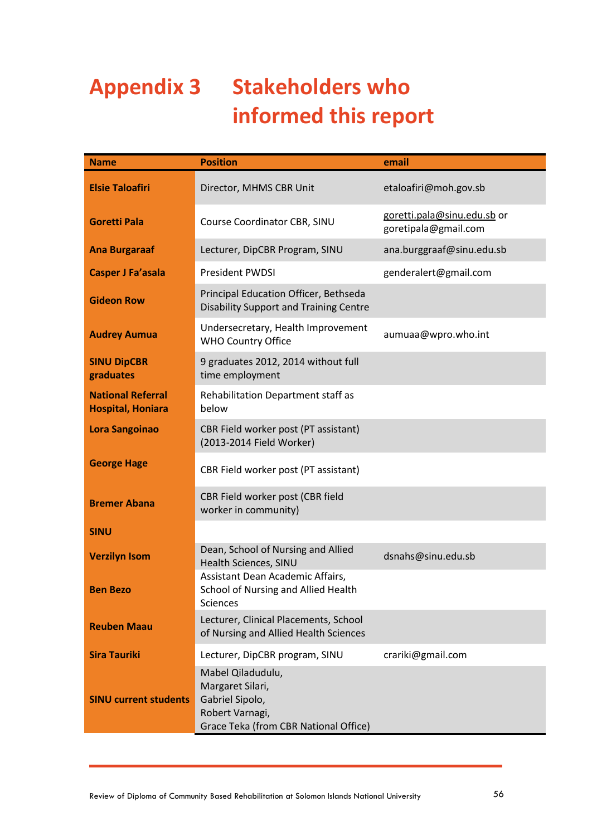## <span id="page-55-0"></span>**Appendix 3 Stakeholders who informed this report**

| <b>Name</b>                                          | <b>Position</b>                                                                                                      | email                                               |
|------------------------------------------------------|----------------------------------------------------------------------------------------------------------------------|-----------------------------------------------------|
| <b>Elsie Taloafiri</b>                               | Director, MHMS CBR Unit                                                                                              | etaloafiri@moh.gov.sb                               |
| <b>Goretti Pala</b>                                  | Course Coordinator CBR, SINU                                                                                         | goretti.pala@sinu.edu.sb or<br>goretipala@gmail.com |
| <b>Ana Burgaraaf</b>                                 | Lecturer, DipCBR Program, SINU                                                                                       | ana.burggraaf@sinu.edu.sb                           |
| <b>Casper J Fa'asala</b>                             | <b>President PWDSI</b>                                                                                               | genderalert@gmail.com                               |
| <b>Gideon Row</b>                                    | Principal Education Officer, Bethseda<br><b>Disability Support and Training Centre</b>                               |                                                     |
| <b>Audrey Aumua</b>                                  | Undersecretary, Health Improvement<br><b>WHO Country Office</b>                                                      | aumuaa@wpro.who.int                                 |
| <b>SINU DipCBR</b><br>graduates                      | 9 graduates 2012, 2014 without full<br>time employment                                                               |                                                     |
| <b>National Referral</b><br><b>Hospital, Honiara</b> | Rehabilitation Department staff as<br>below                                                                          |                                                     |
| <b>Lora Sangoinao</b>                                | CBR Field worker post (PT assistant)<br>(2013-2014 Field Worker)                                                     |                                                     |
| <b>George Hage</b>                                   | CBR Field worker post (PT assistant)                                                                                 |                                                     |
| <b>Bremer Abana</b>                                  | CBR Field worker post (CBR field<br>worker in community)                                                             |                                                     |
| <b>SINU</b>                                          |                                                                                                                      |                                                     |
| <b>Verzilyn Isom</b>                                 | Dean, School of Nursing and Allied<br>Health Sciences, SINU                                                          | dsnahs@sinu.edu.sb                                  |
| <b>Ben Bezo</b>                                      | Assistant Dean Academic Affairs,<br>School of Nursing and Allied Health<br><b>Sciences</b>                           |                                                     |
| <b>Reuben Maau</b>                                   | Lecturer, Clinical Placements, School<br>of Nursing and Allied Health Sciences                                       |                                                     |
| <b>Sira Tauriki</b>                                  | Lecturer, DipCBR program, SINU                                                                                       | crariki@gmail.com                                   |
| <b>SINU current students</b>                         | Mabel Qiladudulu,<br>Margaret Silari,<br>Gabriel Sipolo,<br>Robert Varnagi,<br>Grace Teka (from CBR National Office) |                                                     |